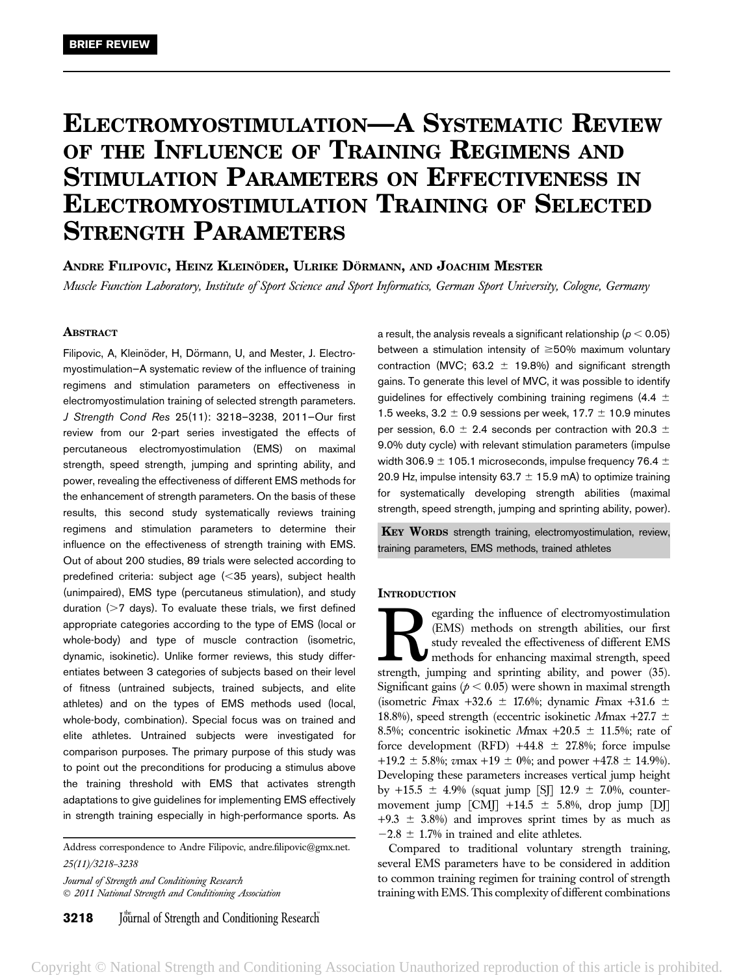# ELECTROMYOSTIMULATION—A SYSTEMATIC REVIEW OF THE INFLUENCE OF TRAINING REGIMENS AND STIMULATION PARAMETERS ON EFFECTIVENESS IN ELECTROMYOSTIMULATION TRAINING OF SELECTED STRENGTH PARAMETERS

ANDRE FILIPOVIC, HEINZ KLEINÖDER, ULRIKE DÖRMANN, AND JOACHIM MESTER

Muscle Function Laboratory, Institute of Sport Science and Sport Informatics, German Sport University, Cologne, Germany

# **ABSTRACT**

Filipovic, A, Kleinöder, H, Dörmann, U, and Mester, J. Electromyostimulation—A systematic review of the influence of training regimens and stimulation parameters on effectiveness in electromyostimulation training of selected strength parameters. J Strength Cond Res 25(11): 3218–3238, 2011—Our first review from our 2-part series investigated the effects of percutaneous electromyostimulation (EMS) on maximal strength, speed strength, jumping and sprinting ability, and power, revealing the effectiveness of different EMS methods for the enhancement of strength parameters. On the basis of these results, this second study systematically reviews training regimens and stimulation parameters to determine their influence on the effectiveness of strength training with EMS. Out of about 200 studies, 89 trials were selected according to predefined criteria: subject age  $(<$ 35 years), subject health (unimpaired), EMS type (percutaneus stimulation), and study duration  $($  > 7 days). To evaluate these trials, we first defined appropriate categories according to the type of EMS (local or whole-body) and type of muscle contraction (isometric, dynamic, isokinetic). Unlike former reviews, this study differentiates between 3 categories of subjects based on their level of fitness (untrained subjects, trained subjects, and elite athletes) and on the types of EMS methods used (local, whole-body, combination). Special focus was on trained and elite athletes. Untrained subjects were investigated for comparison purposes. The primary purpose of this study was to point out the preconditions for producing a stimulus above the training threshold with EMS that activates strength adaptations to give guidelines for implementing EMS effectively in strength training especially in high-performance sports. As

Address correspondence to Andre Filipovic, andre.filipovic@gmx.net. 25(11)/3218–3238 Journal of Strength and Conditioning Research 2011 National Strength and Conditioning Association

**3218** Journal of Strength and Conditioning Research

a result, the analysis reveals a significant relationship ( $p < 0.05$ ) between a stimulation intensity of  $\geq$ 50% maximum voluntary contraction (MVC; 63.2  $\pm$  19.8%) and significant strength gains. To generate this level of MVC, it was possible to identify guidelines for effectively combining training regimens (4.4  $\pm$ 1.5 weeks, 3.2  $\pm$  0.9 sessions per week, 17.7  $\pm$  10.9 minutes per session, 6.0  $\pm$  2.4 seconds per contraction with 20.3  $\pm$ 9.0% duty cycle) with relevant stimulation parameters (impulse width 306.9  $\pm$  105.1 microseconds, impulse frequency 76.4  $\pm$ 20.9 Hz, impulse intensity 63.7  $\pm$  15.9 mA) to optimize training for systematically developing strength abilities (maximal strength, speed strength, jumping and sprinting ability, power).

**KEY WORDS** strength training, electromyostimulation, review, training parameters, EMS methods, trained athletes

## **INTRODUCTION**

**Regarding the influence of electromyostimulation** (EMS) methods on strength abilities, our first study revealed the effectiveness of different EMS methods for enhancing maximal strength, speed strength. iumping and sprint (EMS) methods on strength abilities, our first study revealed the effectiveness of different EMS methods for enhancing maximal strength, speed strength, jumping and sprinting ability, and power (35). Significant gains ( $p < 0.05$ ) were shown in maximal strength (isometric Fmax +32.6  $\pm$  17.6%; dynamic Fmax +31.6  $\pm$ 18.8%), speed strength (eccentric isokinetic Mmax +27.7  $\pm$ 8.5%; concentric isokinetic Mmax  $+20.5 \pm 11.5$ %; rate of force development (RFD) +44.8  $\pm$  27.8%; force impulse +19.2  $\pm$  5.8%; vmax +19  $\pm$  0%; and power +47.8  $\pm$  14.9%). Developing these parameters increases vertical jump height by +15.5  $\pm$  4.9% (squat jump [SJ] 12.9  $\pm$  7.0%, countermovement jump  $\text{[CM]}$  +14.5  $\pm$  5.8%, drop jump  $\text{[D]}$  $+9.3 \pm 3.8\%$ ) and improves sprint times by as much as  $-2.8 \pm 1.7\%$  in trained and elite athletes.

Compared to traditional voluntary strength training, several EMS parameters have to be considered in addition to common training regimen for training control of strength training with EMS. This complexity of different combinations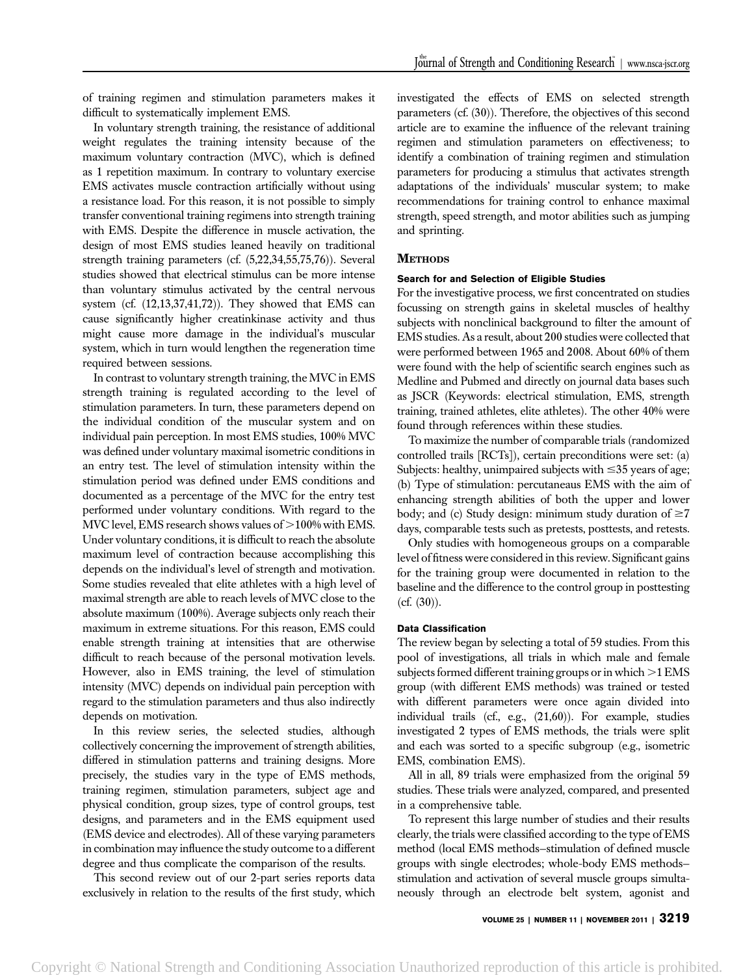of training regimen and stimulation parameters makes it difficult to systematically implement EMS.

In voluntary strength training, the resistance of additional weight regulates the training intensity because of the maximum voluntary contraction (MVC), which is defined as 1 repetition maximum. In contrary to voluntary exercise EMS activates muscle contraction artificially without using a resistance load. For this reason, it is not possible to simply transfer conventional training regimens into strength training with EMS. Despite the difference in muscle activation, the design of most EMS studies leaned heavily on traditional strength training parameters (cf. (5,22,34,55,75,76)). Several studies showed that electrical stimulus can be more intense than voluntary stimulus activated by the central nervous system (cf. (12,13,37,41,72)). They showed that EMS can cause significantly higher creatinkinase activity and thus might cause more damage in the individual's muscular system, which in turn would lengthen the regeneration time required between sessions.

In contrast to voluntary strength training, the MVC in EMS strength training is regulated according to the level of stimulation parameters. In turn, these parameters depend on the individual condition of the muscular system and on individual pain perception. In most EMS studies, 100% MVC was defined under voluntary maximal isometric conditions in an entry test. The level of stimulation intensity within the stimulation period was defined under EMS conditions and documented as a percentage of the MVC for the entry test performed under voluntary conditions. With regard to the MVC level, EMS research shows values of  $>100\%$  with EMS. Under voluntary conditions, it is difficult to reach the absolute maximum level of contraction because accomplishing this depends on the individual's level of strength and motivation. Some studies revealed that elite athletes with a high level of maximal strength are able to reach levels of MVC close to the absolute maximum (100%). Average subjects only reach their maximum in extreme situations. For this reason, EMS could enable strength training at intensities that are otherwise difficult to reach because of the personal motivation levels. However, also in EMS training, the level of stimulation intensity (MVC) depends on individual pain perception with regard to the stimulation parameters and thus also indirectly depends on motivation.

In this review series, the selected studies, although collectively concerning the improvement of strength abilities, differed in stimulation patterns and training designs. More precisely, the studies vary in the type of EMS methods, training regimen, stimulation parameters, subject age and physical condition, group sizes, type of control groups, test designs, and parameters and in the EMS equipment used (EMS device and electrodes). All of these varying parameters in combination may influence the study outcome to a different degree and thus complicate the comparison of the results.

This second review out of our 2-part series reports data exclusively in relation to the results of the first study, which investigated the effects of EMS on selected strength parameters (cf. (30)). Therefore, the objectives of this second article are to examine the influence of the relevant training regimen and stimulation parameters on effectiveness; to identify a combination of training regimen and stimulation parameters for producing a stimulus that activates strength adaptations of the individuals' muscular system; to make recommendations for training control to enhance maximal strength, speed strength, and motor abilities such as jumping and sprinting.

# **METHODS**

#### Search for and Selection of Eligible Studies

For the investigative process, we first concentrated on studies focussing on strength gains in skeletal muscles of healthy subjects with nonclinical background to filter the amount of EMS studies. As a result, about 200 studies were collected that were performed between 1965 and 2008. About 60% of them were found with the help of scientific search engines such as Medline and Pubmed and directly on journal data bases such as JSCR (Keywords: electrical stimulation, EMS, strength training, trained athletes, elite athletes). The other 40% were found through references within these studies.

To maximize the number of comparable trials (randomized controlled trails [RCTs]), certain preconditions were set: (a) Subjects: healthy, unimpaired subjects with  $\leq$ 35 years of age; (b) Type of stimulation: percutaneaus EMS with the aim of enhancing strength abilities of both the upper and lower body; and (c) Study design: minimum study duration of  $\geq 7$ days, comparable tests such as pretests, posttests, and retests.

Only studies with homogeneous groups on a comparable level of fitness were considered in this review. Significant gains for the training group were documented in relation to the baseline and the difference to the control group in posttesting (cf. (30)).

## Data Classification

The review began by selecting a total of 59 studies. From this pool of investigations, all trials in which male and female subjects formed different training groups or in which  $>1$  EMS group (with different EMS methods) was trained or tested with different parameters were once again divided into individual trails (cf., e.g., (21,60)). For example, studies investigated 2 types of EMS methods, the trials were split and each was sorted to a specific subgroup (e.g., isometric EMS, combination EMS).

All in all, 89 trials were emphasized from the original 59 studies. These trials were analyzed, compared, and presented in a comprehensive table.

To represent this large number of studies and their results clearly, the trials were classified according to the type of EMS method (local EMS methods—stimulation of defined muscle groups with single electrodes; whole-body EMS methods stimulation and activation of several muscle groups simultaneously through an electrode belt system, agonist and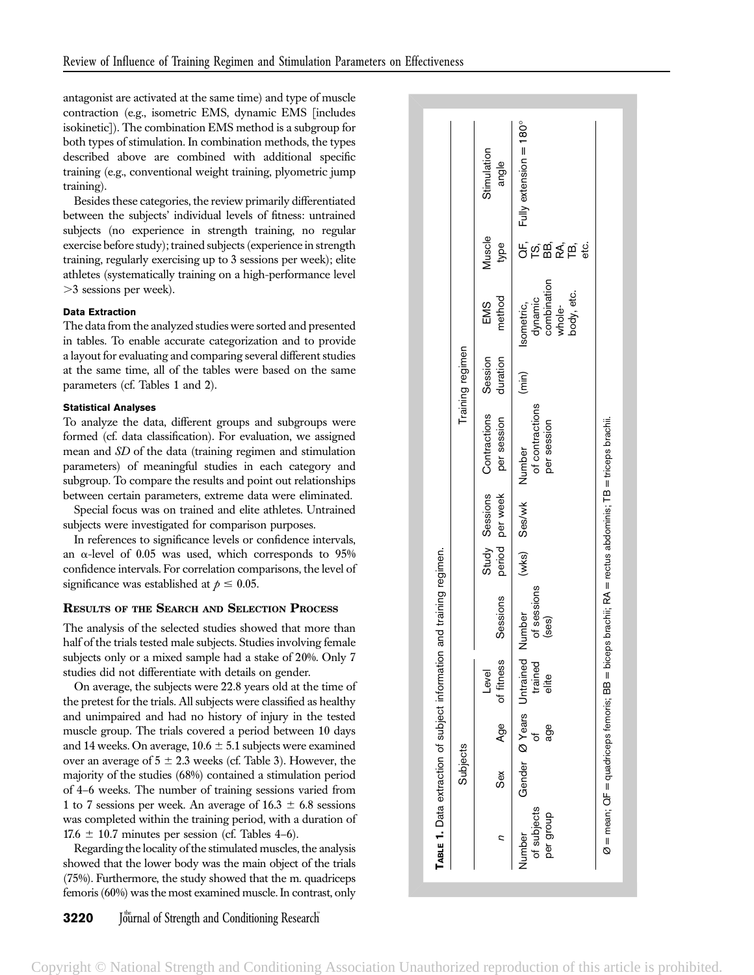antagonist are activated at the same time) and type of muscle contraction (e.g., isometric EMS, dynamic EMS [includes isokinetic]). The combination EMS method is a subgroup for both types of stimulation. In combination methods, the types described above are combined with additional specific training (e.g., conventional weight training, plyometric jump training).

Besides these categories, the review primarily differentiated between the subjects' individual levels of fitness: untrained subjects (no experience in strength training, no regular exercise before study); trained subjects (experience in strength training, regularly exercising up to 3 sessions per week); elite athletes (systematically training on a high-performance level .3 sessions per week).

# Data Extraction

The data from the analyzed studies were sorted and presented in tables. To enable accurate categorization and to provide a layout for evaluating and comparing several different studies at the same time, all of the tables were based on the same parameters (cf. Tables 1 and 2).

# Statistical Analyses

To analyze the data, different groups and subgroups were formed (cf. data classification). For evaluation, we assigned mean and SD of the data (training regimen and stimulation parameters) of meaningful studies in each category and subgroup. To compare the results and point out relationships between certain parameters, extreme data were eliminated.

Special focus was on trained and elite athletes. Untrained subjects were investigated for comparison purposes.

In references to significance levels or confidence intervals, an  $\alpha$ -level of 0.05 was used, which corresponds to 95% confidence intervals. For correlation comparisons, the level of significance was established at  $p \leq 0.05$ .

# RESULTS OF THE SEARCH AND SELECTION PROCESS

The analysis of the selected studies showed that more than half of the trials tested male subjects. Studies involving female subjects only or a mixed sample had a stake of 20%. Only 7 studies did not differentiate with details on gender.

On average, the subjects were 22.8 years old at the time of the pretest for the trials. All subjects were classified as healthy and unimpaired and had no history of injury in the tested muscle group. The trials covered a period between 10 days and 14 weeks. On average,  $10.6 \pm 5.1$  subjects were examined over an average of  $5 \pm 2.3$  weeks (cf. Table 3). However, the majority of the studies (68%) contained a stimulation period of 4–6 weeks. The number of training sessions varied from 1 to 7 sessions per week. An average of 16.3  $\pm$  6.8 sessions was completed within the training period, with a duration of  $17.6 \pm 10.7$  minutes per session (cf. Tables 4–6).

Regarding the locality of the stimulated muscles, the analysis showed that the lower body was the main object of the trials (75%). Furthermore, the study showed that the m. quadriceps femoris (60%) was the most examined muscle. In contrast, only

|                                    | Subjects |     |                                                     |                      |                     |                                                    | Training regimen |                                                              |                |                                                 |
|------------------------------------|----------|-----|-----------------------------------------------------|----------------------|---------------------|----------------------------------------------------|------------------|--------------------------------------------------------------|----------------|-------------------------------------------------|
|                                    | Sex      |     | Age of fitness<br>Level                             | Sessions             | period per week     | Study Sessions Contractions Session<br>per session | duration         | method<br>EMS                                                | Muscle<br>type | Stimulation<br>angle                            |
| of subjects<br>per group<br>Number |          | age | Gender Ø Years Untrained Number<br>trained<br>elite | of sessions<br>(ses) | (wks) Ses/wk Number | of contractions<br>per session                     | (min)            | dynamic<br>combination<br>whole-<br>body, etc.<br>Isometric, | eťc.           | QF, Fully extension = 180°<br>TS,<br>BB,<br>TA, |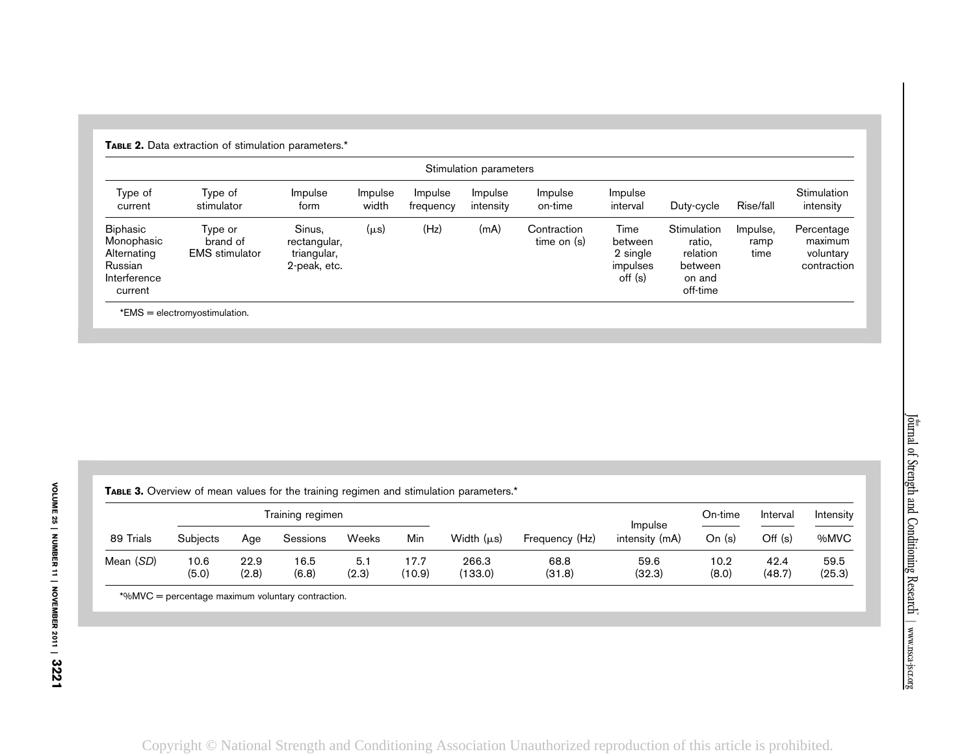|                                                                                    |                                              |                                                       |                  |                      | Stimulation parameters |                              |                                                    |                                                                    |                          |                                                   |
|------------------------------------------------------------------------------------|----------------------------------------------|-------------------------------------------------------|------------------|----------------------|------------------------|------------------------------|----------------------------------------------------|--------------------------------------------------------------------|--------------------------|---------------------------------------------------|
| Type of<br>current                                                                 | Type of<br>stimulator                        | Impulse<br>form                                       | Impulse<br>width | Impulse<br>frequency | Impulse<br>intensity   | Impulse<br>on-time           | Impulse<br>interval                                | Duty-cycle                                                         | Rise/fall                | Stimulation<br>intensity                          |
| <b>Biphasic</b><br>Monophasic<br>Alternating<br>Russian<br>Interference<br>current | Type or<br>brand of<br><b>EMS</b> stimulator | Sinus,<br>rectangular,<br>triangular,<br>2-peak, etc. | (µs)             | (Hz)                 | (mA)                   | Contraction<br>time on $(s)$ | Time<br>between<br>2 single<br>impulses<br>off (s) | Stimulation<br>ratio,<br>relation<br>between<br>on and<br>off-time | Impulse,<br>ramp<br>time | Percentage<br>maximum<br>voluntary<br>contraction |

\*EMS <sup>=</sup> electromyostimulation.

TABLE 2. Data extraction of stimulation parameters.\*

**TABLE 3.** Overview of mean values for the training regimen and stimulation parameters.\*

|           |                 |               | Training regimen |              |                |                  |                |                           | On-time       | Interval       | Intensity      |
|-----------|-----------------|---------------|------------------|--------------|----------------|------------------|----------------|---------------------------|---------------|----------------|----------------|
| 89 Trials | <b>Subjects</b> | Age           | Sessions         | Weeks        | Min            | Width $(\mu s)$  | Frequency (Hz) | Impulse<br>intensity (mA) | On $(s)$      | Off (s)        | %MVC           |
| Mean (SD) | 10.6<br>(5.0)   | 22.9<br>(2.8) | 16.5<br>(6.8)    | 5.1<br>(2.3) | 17.7<br>(10.9) | 266.3<br>(133.0) | 68.8<br>(31.8) | 59.6<br>(32.3)            | 10.2<br>(8.0) | 42.4<br>(48.7) | 59.5<br>(25.3) |

\*%MVC <sup>=</sup> percentage maximum voluntary contraction.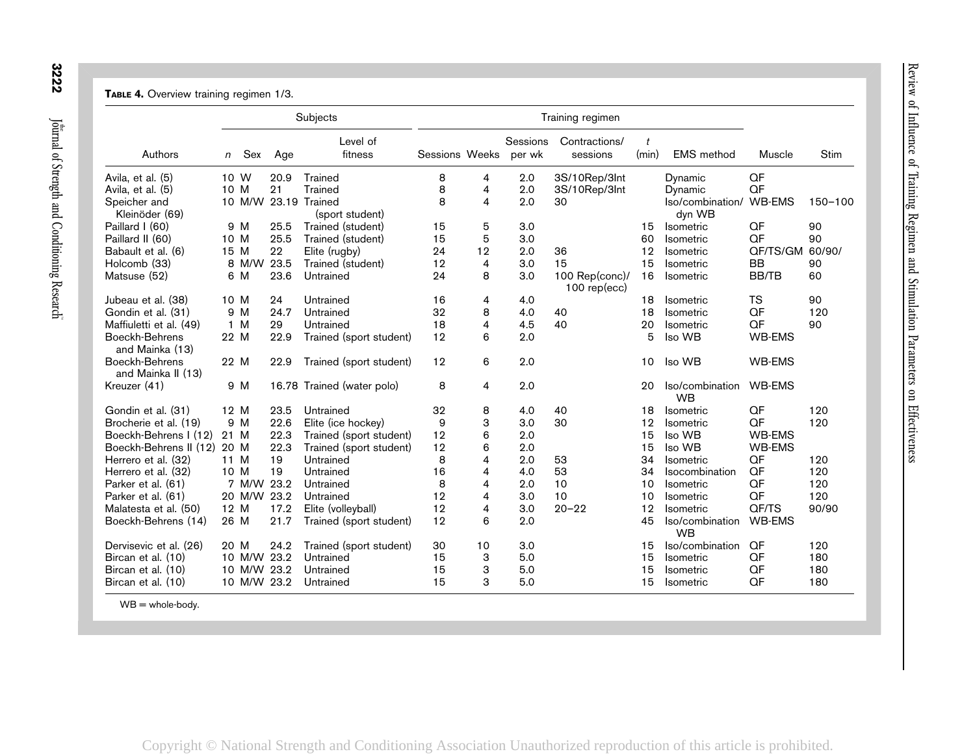## TABLE 4. Overview training regimen 1/3.

|                                      |      |             |      | Subjects                   |                |    |                    | Training regimen                    |                         |                              |               |         |
|--------------------------------------|------|-------------|------|----------------------------|----------------|----|--------------------|-------------------------------------|-------------------------|------------------------------|---------------|---------|
| Authors                              | n    | Sex         | Age  | Level of<br>fitness        | Sessions Weeks |    | Sessions<br>per wk | Contractions/<br>sessions           | $\mathfrak{t}$<br>(min) | <b>EMS</b> method            | Muscle        | Stim    |
| Avila, et al. (5)                    | 10 W |             | 20.9 | Trained                    | 8              | 4  | 2.0                | 3S/10Rep/3Int                       |                         | Dynamic                      | QF            |         |
| Avila, et al. (5)                    | 10 M |             | 21   | <b>Trained</b>             | 8              | 4  | 2.0                | 3S/10Rep/3Int                       |                         | Dynamic                      | QF            |         |
| Speicher and                         |      | 10 M/W      |      | 23.19 Trained              | 8              | 4  | 2.0                | 30                                  |                         | Iso/combination/             | <b>WB-EMS</b> | 150-100 |
| Kleinöder (69)                       |      |             |      | (sport student)            |                |    |                    |                                     |                         | dyn WB                       |               |         |
| Paillard I (60)                      |      | 9 M         | 25.5 | Trained (student)          | 15             | 5  | 3.0                |                                     | 15                      | Isometric                    | QF            | 90      |
| Paillard II (60)                     | 10 M |             | 25.5 | Trained (student)          | 15             | 5  | 3.0                |                                     | 60                      | <b>Isometric</b>             | QF            | 90      |
| Babault et al. (6)                   | 15 M |             | 22   | Elite (rugby)              | 24             | 12 | 2.0                | 36                                  | 12                      | Isometric                    | QF/TS/GM      | 60/90/  |
| Holcomb (33)                         |      | 8 M/W       | 23.5 | Trained (student)          | 12             | 4  | 3.0                | 15                                  | 15                      | Isometric                    | BB            | 90      |
| Matsuse (52)                         |      | 6 M         | 23.6 | Untrained                  | 24             | 8  | 3.0                | 100 $Rep(conc)$ /<br>$100$ rep(ecc) | 16                      | Isometric                    | <b>BB/TB</b>  | 60      |
| Jubeau et al. (38)                   | 10 M |             | 24   | Untrained                  | 16             | 4  | 4.0                |                                     | 18                      | Isometric                    | <b>TS</b>     | 90      |
| Gondin et al. (31)                   |      | 9 M         | 24.7 | Untrained                  | 32             | 8  | 4.0                | 40                                  | 18                      | <b>Isometric</b>             | QF            | 120     |
| Maffiuletti et al. (49)              |      | 1 M         | 29   | Untrained                  | 18             | 4  | 4.5                | 40                                  | 20                      | <b>Isometric</b>             | QF            | 90      |
| Boeckh-Behrens<br>and Mainka (13)    | 22 M |             | 22.9 | Trained (sport student)    | 12             | 6  | 2.0                |                                     | 5                       | Iso WB                       | <b>WB-EMS</b> |         |
| Boeckh-Behrens<br>and Mainka II (13) | 22 M |             | 22.9 | Trained (sport student)    | 12             | 6  | 2.0                |                                     | 10                      | Iso WB                       | <b>WB-EMS</b> |         |
| Kreuzer (41)                         |      | 9 M         |      | 16.78 Trained (water polo) | 8              | 4  | 2.0                |                                     | 20                      | Iso/combination<br><b>WB</b> | WB-EMS        |         |
| Gondin et al. (31)                   | 12 M |             | 23.5 | Untrained                  | 32             | 8  | 4.0                | 40                                  | 18                      | Isometric                    | QF            | 120     |
| Brocherie et al. (19)                |      | 9 M         | 22.6 | Elite (ice hockey)         | 9              | 3  | 3.0                | 30                                  | 12                      | Isometric                    | QF            | 120     |
| Boeckh-Behrens I (12)                | 21 M |             | 22.3 | Trained (sport student)    | 12             | 6  | 2.0                |                                     | 15                      | Iso WB                       | <b>WB-EMS</b> |         |
| Boeckh-Behrens II (12)               | 20 M |             | 22.3 | Trained (sport student)    | 12             | 6  | 2.0                |                                     | 15                      | Iso WB                       | <b>WB-EMS</b> |         |
| Herrero et al. (32)                  | 11 M |             | 19   | Untrained                  | 8              | 4  | 2.0                | 53                                  | 34                      | Isometric                    | QF            | 120     |
| Herrero et al. (32)                  | 10 M |             | 19   | Untrained                  | 16             | 4  | 4.0                | 53                                  | 34                      | Isocombination               | QF            | 120     |
| Parker et al. (61)                   |      | 7 M/W       | 23.2 | Untrained                  | 8              | 4  | 2.0                | 10                                  | 10                      | Isometric                    | QF            | 120     |
| Parker et al. (61)                   |      | 20 M/W      | 23.2 | Untrained                  | 12             | 4  | 3.0                | 10                                  | 10                      | Isometric                    | QF            | 120     |
| Malatesta et al. (50)                | 12 M |             | 17.2 | Elite (volleyball)         | 12             | 4  | 3.0                | $20 - 22$                           | 12                      | Isometric                    | QF/TS         | 90/90   |
| Boeckh-Behrens (14)                  | 26 M |             | 21.7 | Trained (sport student)    | 12             | 6  | 2.0                |                                     | 45                      | Iso/combination<br><b>WB</b> | <b>WB-EMS</b> |         |
| Dervisevic et al. (26)               | 20 M |             | 24.2 | Trained (sport student)    | 30             | 10 | 3.0                |                                     | 15                      | Iso/combination              | QF            | 120     |
| Bircan et al. (10)                   |      | 10 M/W      | 23.2 | Untrained                  | 15             | 3  | 5.0                |                                     | 15                      | Isometric                    | QF            | 180     |
| Bircan et al. (10)                   |      | 10 M/W      | 23.2 | Untrained                  | 15             | 3  | 5.0                |                                     | 15                      | Isometric                    | QF            | 180     |
| Bircan et al. (10)                   |      | 10 M/W 23.2 |      | Untrained                  | 15             | 3  | 5.0                |                                     | 15                      | Isometric                    | QF            | 180     |

 $WB =$  whole-body.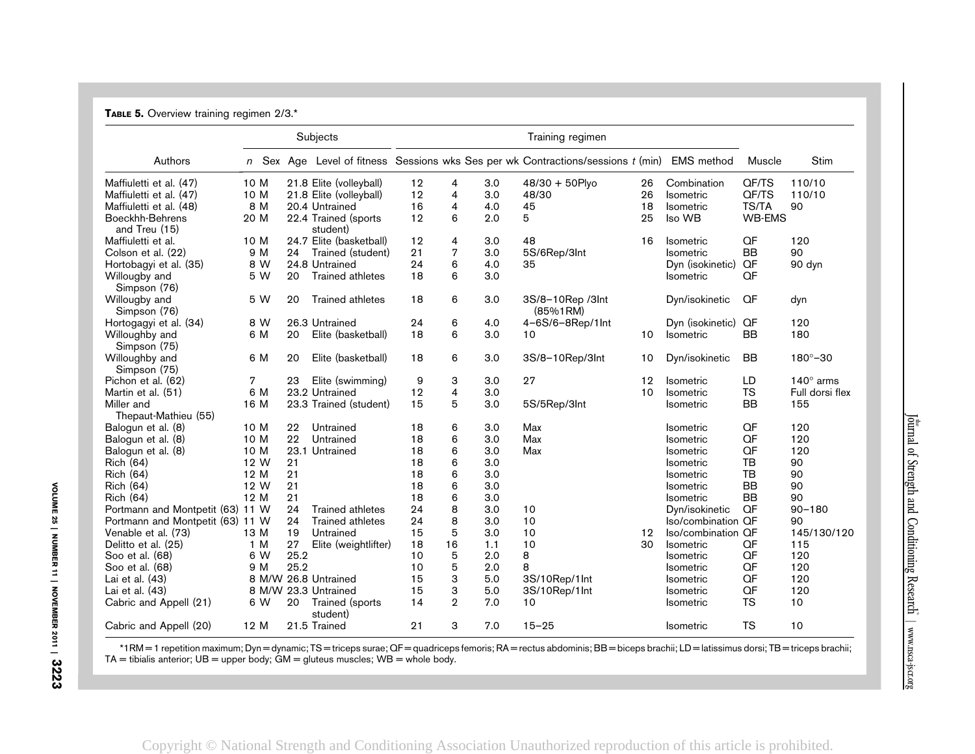| TABLE 5. Overview training regimen 2/3.* |      |     |      |                                  |    |                         |     |                                                                                      |                 |                    |               |                     |
|------------------------------------------|------|-----|------|----------------------------------|----|-------------------------|-----|--------------------------------------------------------------------------------------|-----------------|--------------------|---------------|---------------------|
|                                          |      |     |      | Subjects                         |    |                         |     | Training regimen                                                                     |                 |                    |               |                     |
| Authors                                  |      |     |      |                                  |    |                         |     | $n$ Sex Age Level of fitness Sessions wks Ses per wk Contractions/sessions $t$ (min) |                 | <b>EMS</b> method  | Muscle        | <b>Stim</b>         |
| Maffiuletti et al. (47)                  | 10 M |     |      | 21.8 Elite (volleyball)          | 12 | $\overline{4}$          | 3.0 | $48/30 + 50$ Plyo                                                                    | 26              | Combination        | QF/TS         | 110/10              |
| Maffiuletti et al. (47)                  | 10 M |     |      | 21.8 Elite (volleyball)          | 12 | $\overline{\mathbf{4}}$ | 3.0 | 48/30                                                                                | 26              | <b>Isometric</b>   | QF/TS         | 110/10              |
| Maffiuletti et al. (48)                  |      | 8 M |      | 20.4 Untrained                   | 16 | 4                       | 4.0 | 45                                                                                   | 18              | <b>Isometric</b>   | TS/TA         | 90                  |
| Boeckhh-Behrens<br>and Treu (15)         | 20 M |     |      | 22.4 Trained (sports<br>student) | 12 | 6                       | 2.0 | 5                                                                                    | 25              | Iso WB             | <b>WB-EMS</b> |                     |
| Maffiuletti et al.                       | 10 M |     |      | 24.7 Elite (basketball)          | 12 | 4                       | 3.0 | 48                                                                                   | 16              | <b>Isometric</b>   | QF            | 120                 |
| Colson et al. (22)                       |      | 9 M | 24   | Trained (student)                | 21 | 7                       | 3.0 | 5S/6Rep/3Int                                                                         |                 | <b>Isometric</b>   | <b>BB</b>     | 90                  |
| Hortobagyi et al. (35)                   |      | 8 W |      | 24.8 Untrained                   | 24 | 6                       | 4.0 | 35                                                                                   |                 | Dyn (isokinetic)   | QF            | 90 dyn              |
| Willougby and<br>Simpson (76)            |      | 5 W | 20   | <b>Trained athletes</b>          | 18 | 6                       | 3.0 |                                                                                      |                 | Isometric          | QF            |                     |
| Willougby and<br>Simpson (76)            |      | 5 W | 20   | <b>Trained athletes</b>          | 18 | 6                       | 3.0 | 3S/8-10Rep /3Int<br>(85%1RM)                                                         |                 | Dyn/isokinetic     | QF            | dyn                 |
| Hortogagyi et al. (34)                   |      | 8 W |      | 26.3 Untrained                   | 24 | 6                       | 4.0 | 4-6S/6-8Rep/1Int                                                                     |                 | Dyn (isokinetic)   | QF            | 120                 |
| Willoughby and<br>Simpson (75)           |      | 6 M | 20   | Elite (basketball)               | 18 | 6                       | 3.0 | 10                                                                                   | 10              | Isometric          | <b>BB</b>     | 180                 |
| Willoughby and<br>Simpson (75)           |      | 6 M | 20   | Elite (basketball)               | 18 | 6                       | 3.0 | 3S/8-10Rep/3Int                                                                      | 10              | Dyn/isokinetic     | <b>BB</b>     | $180^{\circ} - 30$  |
| Pichon et al. (62)                       | 7    |     | 23   | Elite (swimming)                 | 9  | 3                       | 3.0 | 27                                                                                   | 12              | <b>Isometric</b>   | LD            | 140 $^{\circ}$ arms |
| Martin et al. (51)                       |      | 6 M |      | 23.2 Untrained                   | 12 | $\overline{4}$          | 3.0 |                                                                                      | 10              | <b>Isometric</b>   | <b>TS</b>     | Full dorsi flex     |
| Miller and                               | 16 M |     |      | 23.3 Trained (student)           | 15 | 5                       | 3.0 | 5S/5Rep/3Int                                                                         |                 | <b>Isometric</b>   | <b>BB</b>     | 155                 |
| Thepaut-Mathieu (55)                     |      |     |      |                                  |    |                         |     |                                                                                      |                 |                    |               |                     |
| Balogun et al. (8)                       | 10 M |     | 22   | Untrained                        | 18 | 6                       | 3.0 | Max                                                                                  |                 | <b>Isometric</b>   | QF            | 120                 |
| Balogun et al. (8)                       | 10 M |     | 22   | Untrained                        | 18 | 6                       | 3.0 | Max                                                                                  |                 | <b>Isometric</b>   | QF            | 120                 |
| Balogun et al. (8)                       | 10 M |     |      | 23.1 Untrained                   | 18 | 6                       | 3.0 | Max                                                                                  |                 | <b>Isometric</b>   | QF            | 120                 |
| <b>Rich (64)</b>                         | 12 W |     | 21   |                                  | 18 | 6                       | 3.0 |                                                                                      |                 | <b>Isometric</b>   | <b>TB</b>     | 90                  |
| <b>Rich (64)</b>                         | 12 M |     | 21   |                                  | 18 | 6                       | 3.0 |                                                                                      |                 | <b>Isometric</b>   | <b>TB</b>     | 90                  |
| <b>Rich (64)</b>                         | 12 W |     | 21   |                                  | 18 | 6                       | 3.0 |                                                                                      |                 | <b>Isometric</b>   | <b>BB</b>     | 90                  |
| <b>Rich (64)</b>                         | 12 M |     | 21   |                                  | 18 | 6                       | 3.0 |                                                                                      |                 | <b>Isometric</b>   | <b>BB</b>     | 90                  |
| Portmann and Montpetit (63) 11 W         |      |     | 24   | <b>Trained athletes</b>          | 24 | 8                       | 3.0 | 10                                                                                   |                 | Dyn/isokinetic     | QF            | $90 - 180$          |
| Portmann and Montpetit (63) 11 W         |      |     | 24   | <b>Trained athletes</b>          | 24 | 8                       | 3.0 | 10                                                                                   |                 | Iso/combination QF |               | 90                  |
| Venable et al. (73)                      | 13 M |     | 19   | Untrained                        | 15 | 5                       | 3.0 | 10                                                                                   | 12 <sup>2</sup> | Iso/combination QF |               | 145/130/120         |
| Delitto et al. (25)                      | 1 M  |     | 27   | Elite (weightlifter)             | 18 | 16                      | 1.1 | 10                                                                                   | 30              | <b>Isometric</b>   | QF            | 115                 |
| Soo et al. (68)                          |      | 6 W | 25.2 |                                  | 10 | 5                       | 2.0 | 8                                                                                    |                 | <b>Isometric</b>   | QF            | 120                 |
| Soo et al. (68)                          |      | 9 M | 25.2 |                                  | 10 | 5                       | 2.0 | 8                                                                                    |                 | <b>Isometric</b>   | QF            | 120                 |
| Lai et al. (43)                          |      |     |      | 8 M/W 26.8 Untrained             | 15 | 3                       | 5.0 | 3S/10Rep/1Int                                                                        |                 | <b>Isometric</b>   | QF            | 120                 |
| Lai et al. (43)                          |      |     |      | 8 M/W 23.3 Untrained             | 15 | 3                       | 5.0 | 3S/10Rep/1Int                                                                        |                 | Isometric          | QF            | 120                 |
| Cabric and Appell (21)                   |      | 6 W | 20   | Trained (sports<br>student)      | 14 | $\overline{2}$          | 7.0 | 10                                                                                   |                 | <b>Isometric</b>   | <b>TS</b>     | 10                  |
| Cabric and Appell (20)                   | 12 M |     |      | 21.5 Trained                     | 21 | 3                       | 7.0 | $15 - 25$                                                                            |                 | <b>Isometric</b>   | <b>TS</b>     | 10                  |

\*1RM <sup>=</sup> 1 repetition maximum; Dyn <sup>=</sup> dynamic; TS <sup>=</sup> triceps surae; QF <sup>=</sup> quadriceps femoris; RA <sup>=</sup> rectus abdominis; BB <sup>=</sup> biceps brachii; LD <sup>=</sup> latissimus dorsi; TB <sup>=</sup> triceps brachii; TA  $=$  tibialis anterior; UB  $=$  upper body; GM  $=$  gluteus muscles; WB  $=$  whole body.

VOLUME 25 | NUMBER 11 | NOVEMBER 2011 | VOLUME 25 | NUMBER 11 | NOVEMBER 2011 | 3223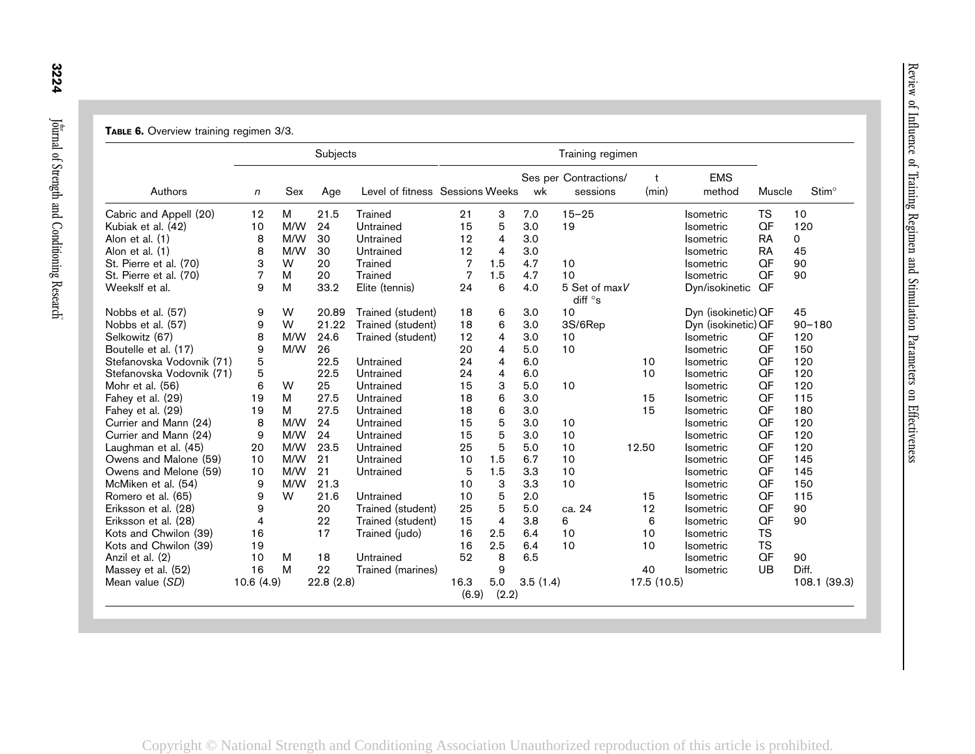|                           |           |     | Subjects  |                                 |       |                |          | Training regimen                  |             |                      |           |                   |
|---------------------------|-----------|-----|-----------|---------------------------------|-------|----------------|----------|-----------------------------------|-------------|----------------------|-----------|-------------------|
| Authors                   | n         | Sex | Age       | Level of fitness Sessions Weeks |       |                | wk       | Ses per Contractions/<br>sessions | t<br>(min)  | <b>EMS</b><br>method | Muscle    | Stim <sup>°</sup> |
| Cabric and Appell (20)    | 12        | M   | 21.5      | <b>Trained</b>                  | 21    | 3              | 7.0      | $15 - 25$                         |             | <b>Isometric</b>     | <b>TS</b> | 10                |
| Kubiak et al. (42)        | 10        | M/W | 24        | Untrained                       | 15    | 5              | 3.0      | 19                                |             | Isometric            | QF        | 120               |
| Alon et al. (1)           | 8         | M/W | 30        | Untrained                       | 12    | $\overline{4}$ | 3.0      |                                   |             | Isometric            | <b>RA</b> | 0                 |
| Alon et al. (1)           | 8         | M/W | 30        | Untrained                       | 12    | $\overline{4}$ | 3.0      |                                   |             | Isometric            | <b>RA</b> | 45                |
| St. Pierre et al. (70)    | 3         | W   | 20        | Trained                         | 7     | 1.5            | 4.7      | 10                                |             | Isometric            | QF        | 90                |
| St. Pierre et al. (70)    | 7         | M   | 20        | <b>Trained</b>                  | 7     | 1.5            | 4.7      | 10                                |             | <b>Isometric</b>     | QF        | 90                |
| Weekslf et al.            | 9         | M   | 33.2      | Elite (tennis)                  | 24    | 6              | 4.0      | 5 Set of maxV<br>diff $\circ$ s   |             | Dyn/isokinetic       | QF        |                   |
| Nobbs et al. (57)         | 9         | W   | 20.89     | Trained (student)               | 18    | 6              | 3.0      | 10                                |             | Dyn (isokinetic) QF  |           | 45                |
| Nobbs et al. (57)         | 9         | W   | 21.22     | Trained (student)               | 18    | 6              | 3.0      | 3S/6Rep                           |             | Dyn (isokinetic) QF  |           | $90 - 180$        |
| Selkowitz (67)            | 8         | M/W | 24.6      | Trained (student)               | 12    | 4              | 3.0      | 10                                |             | <b>Isometric</b>     | QF        | 120               |
| Boutelle et al. (17)      | 9         | M/W | 26        |                                 | 20    | $\overline{4}$ | 5.0      | 10                                |             | <b>Isometric</b>     | QF        | 150               |
| Stefanovska Vodovnik (71) | 5         |     | 22.5      | Untrained                       | 24    | 4              | 6.0      |                                   | 10          | <b>Isometric</b>     | QF        | 120               |
| Stefanovska Vodovnik (71) | 5         |     | 22.5      | Untrained                       | 24    | 4              | 6.0      |                                   | 10          | <b>Isometric</b>     | QF        | 120               |
| Mohr et al. (56)          | 6         | W   | 25        | Untrained                       | 15    | 3              | 5.0      | 10                                |             | <b>Isometric</b>     | QF        | 120               |
| Fahey et al. (29)         | 19        | M   | 27.5      | Untrained                       | 18    | 6              | 3.0      |                                   | 15          | <b>Isometric</b>     | QF        | 115               |
| Fahey et al. (29)         | 19        | M   | 27.5      | Untrained                       | 18    | 6              | 3.0      |                                   | 15          | <b>Isometric</b>     | QF        | 180               |
| Currier and Mann (24)     | 8         | M/W | 24        | Untrained                       | 15    | 5              | 3.0      | 10                                |             | <b>Isometric</b>     | QF        | 120               |
| Currier and Mann (24)     | 9         | M/W | 24        | Untrained                       | 15    | 5              | 3.0      | 10                                |             | Isometric            | QF        | 120               |
| Laughman et al. (45)      | 20        | M/W | 23.5      | Untrained                       | 25    | 5              | 5.0      | 10                                | 12.50       | <b>Isometric</b>     | QF        | 120               |
| Owens and Malone (59)     | 10        | M/W | 21        | Untrained                       | 10    | 1.5            | 6.7      | 10                                |             | <b>Isometric</b>     | QF        | 145               |
| Owens and Melone (59)     | 10        | M/W | 21        | Untrained                       | 5     | 1.5            | 3.3      | 10                                |             | Isometric            | QF        | 145               |
| McMiken et al. (54)       | 9         | M/W | 21.3      |                                 | 10    | 3              | 3.3      | 10                                |             | Isometric            | QF        | 150               |
| Romero et al. (65)        | 9         | W   | 21.6      | Untrained                       | 10    | 5              | 2.0      |                                   | 15          | Isometric            | QF        | 115               |
| Eriksson et al. (28)      | 9         |     | 20        | Trained (student)               | 25    | 5              | 5.0      | ca. 24                            | 12          | Isometric            | QF        | 90                |
| Eriksson et al. (28)      | 4         |     | 22        | Trained (student)               | 15    | $\overline{4}$ | 3.8      | 6                                 | 6           | Isometric            | QF        | 90                |
| Kots and Chwilon (39)     | 16        |     | 17        | Trained (judo)                  | 16    | 2.5            | 6.4      | 10                                | 10          | <b>Isometric</b>     | <b>TS</b> |                   |
| Kots and Chwilon (39)     | 19        |     |           |                                 | 16    | 2.5            | 6.4      | 10                                | 10          | Isometric            | <b>TS</b> |                   |
| Anzil et al. (2)          | 10        | M   | 18        | Untrained                       | 52    | 8              | 6.5      |                                   |             | <b>Isometric</b>     | QF        | 90                |
| Massey et al. (52)        | 16        | M   | 22        | Trained (marines)               |       | 9              |          |                                   | 40          | <b>Isometric</b>     | <b>UB</b> | Diff.             |
| Mean value (SD)           | 10.6(4.9) |     | 22.8(2.8) |                                 | 16.3  | 5.0            | 3.5(1.4) |                                   | 17.5 (10.5) |                      |           | 108.1 (39.3)      |
|                           |           |     |           |                                 | (6.9) | (2.2)          |          |                                   |             |                      |           |                   |

TABLE 6. Overview training regimen 3/3.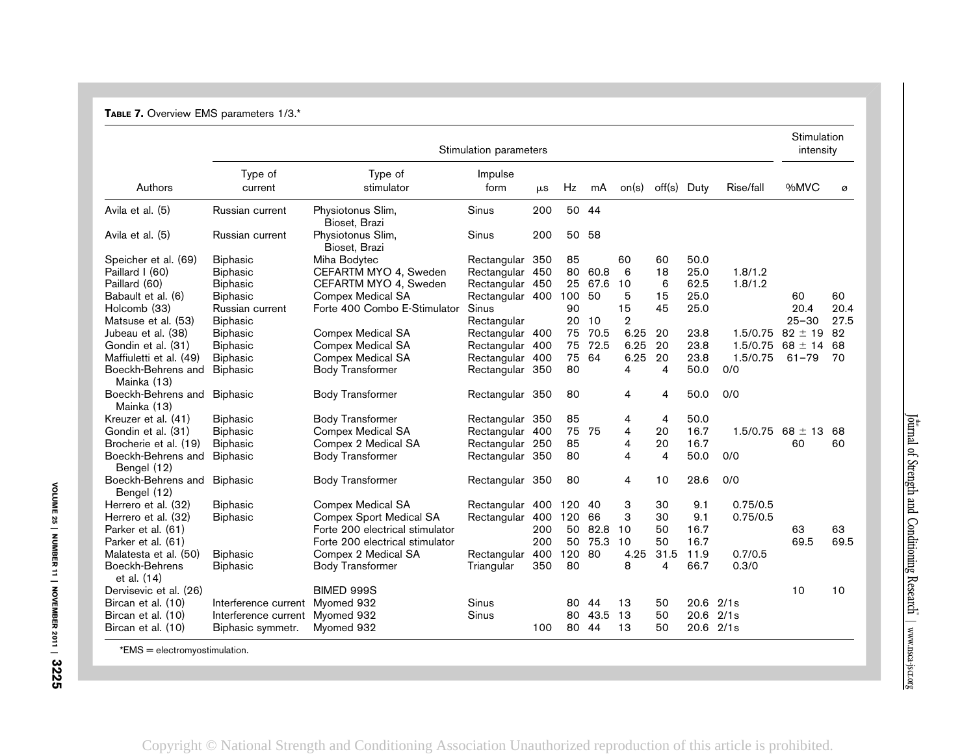| TABLE 7. Overview EMS parameters 1/3.* |  |  |  |
|----------------------------------------|--|--|--|
|----------------------------------------|--|--|--|

|                                            |                      |                                    | Stimulation parameters |         |        |         |       |             |      |           | Stimulation<br>intensity |      |
|--------------------------------------------|----------------------|------------------------------------|------------------------|---------|--------|---------|-------|-------------|------|-----------|--------------------------|------|
| Authors                                    | Type of<br>current   | Type of<br>stimulator              | Impulse<br>form        | $\mu$ s | Hz     | mA      | on(s) | off(s) Duty |      | Rise/fall | %MVC                     | ø    |
| Avila et al. (5)                           | Russian current      | Physiotonus Slim,<br>Bioset, Brazi | Sinus                  | 200     |        | 50 44   |       |             |      |           |                          |      |
| Avila et al. (5)                           | Russian current      | Physiotonus Slim,<br>Bioset, Brazi | Sinus                  | 200     | 50 58  |         |       |             |      |           |                          |      |
| Speicher et al. (69)                       | <b>Biphasic</b>      | Miha Bodytec                       | Rectangular 350        |         | 85     |         | 60    | 60          | 50.0 |           |                          |      |
| Paillard I (60)                            | <b>Biphasic</b>      | CEFARTM MYO 4, Sweden              | Rectangular 450        |         |        | 80 60.8 | 6     | 18          | 25.0 | 1.8/1.2   |                          |      |
| Paillard (60)                              | <b>Biphasic</b>      | CEFARTM MYO 4, Sweden              | Rectangular 450        |         |        | 25 67.6 | 10    | 6           | 62.5 | 1.8/1.2   |                          |      |
| Babault et al. (6)                         | <b>Biphasic</b>      | <b>Compex Medical SA</b>           | Rectangular 400        |         | 100    | 50      | 5     | 15          | 25.0 |           | 60                       | 60   |
| Holcomb (33)                               | Russian current      | Forte 400 Combo E-Stimulator       | Sinus                  |         | 90     |         | 15    | 45          | 25.0 |           | 20.4                     | 20.4 |
| Matsuse et al. (53)                        | <b>Biphasic</b>      |                                    | Rectangular            |         | 20     | 10      | 2     |             |      |           | $25 - 30$                | 27.5 |
| Jubeau et al. (38)                         | <b>Biphasic</b>      | <b>Compex Medical SA</b>           | Rectangular 400        |         | 75     | 70.5    | 6.25  | 20          | 23.8 | 1.5/0.75  | $82 \pm 19$              | 82   |
| Gondin et al. (31)                         | <b>Biphasic</b>      | <b>Compex Medical SA</b>           | Rectangular 400        |         | 75     | 72.5    | 6.25  | 20          | 23.8 | 1.5/0.75  | $68 \pm 14$              | 68   |
| Maffiuletti et al. (49)                    | <b>Biphasic</b>      | <b>Compex Medical SA</b>           | Rectangular 400        |         | 75     | 64      | 6.25  | 20          | 23.8 | 1.5/0.75  | $61 - 79$                | 70   |
| Boeckh-Behrens and<br>Mainka (13)          | <b>Biphasic</b>      | <b>Body Transformer</b>            | Rectangular 350        |         | 80     |         | 4     | 4           | 50.0 | 0/0       |                          |      |
| Boeckh-Behrens and Biphasic<br>Mainka (13) |                      | <b>Body Transformer</b>            | Rectangular 350        |         | 80     |         | 4     | 4           | 50.0 | 0/0       |                          |      |
| Kreuzer et al. (41)                        | <b>Biphasic</b>      | <b>Body Transformer</b>            | Rectangular 350        |         | 85     |         | 4     | 4           | 50.0 |           |                          |      |
| Gondin et al. (31)                         | <b>Biphasic</b>      | <b>Compex Medical SA</b>           | Rectangular 400        |         | 75     | 75      | 4     | 20          | 16.7 |           | $1.5/0.75$ 68 $\pm$ 13   | 68   |
| Brocherie et al. (19)                      | <b>Biphasic</b>      | Compex 2 Medical SA                | Rectangular 250        |         | 85     |         | 4     | 20          | 16.7 |           | 60                       | 60   |
| Boeckh-Behrens and<br>Bengel (12)          | <b>Biphasic</b>      | <b>Body Transformer</b>            | Rectangular 350        |         | 80     |         | 4     | 4           | 50.0 | 0/0       |                          |      |
| Boeckh-Behrens and Biphasic<br>Bengel (12) |                      | <b>Body Transformer</b>            | Rectangular 350        |         | 80     |         | 4     | 10          | 28.6 | 0/0       |                          |      |
| Herrero et al. (32)                        | <b>Biphasic</b>      | <b>Compex Medical SA</b>           | Rectangular            | 400     | 120 40 |         | 3     | 30          | 9.1  | 0.75/0.5  |                          |      |
| Herrero et al. (32)                        | <b>Biphasic</b>      | <b>Compex Sport Medical SA</b>     | Rectangular            | 400     | 120 66 |         | 3     | 30          | 9.1  | 0.75/0.5  |                          |      |
| Parker et al. (61)                         |                      | Forte 200 electrical stimulator    |                        | 200     | 50     | 82.8    | 10    | 50          | 16.7 |           | 63                       | 63   |
| Parker et al. (61)                         |                      | Forte 200 electrical stimulator    |                        | 200     | 50     | 75.3    | 10    | 50          | 16.7 |           | 69.5                     | 69.5 |
| Malatesta et al. (50)                      | <b>Biphasic</b>      | Compex 2 Medical SA                | Rectangular            | 400     | 120    | 80      | 4.25  | 31.5        | 11.9 | 0.7/0.5   |                          |      |
| Boeckh-Behrens<br>et al. (14)              | <b>Biphasic</b>      | <b>Body Transformer</b>            | Triangular             | 350     | 80     |         | 8     | 4           | 66.7 | 0.3/0     |                          |      |
| Dervisevic et al. (26)                     |                      | BIMED 999S                         |                        |         |        |         |       |             |      |           | 10                       | 10   |
| Bircan et al. (10)                         | Interference current | Myomed 932                         | Sinus                  |         |        | 80 44   | 13    | 50          | 20.6 | 2/1s      |                          |      |
| Bircan et al. (10)                         | Interference current | Myomed 932                         | Sinus                  |         |        | 80 43.5 | 13    | 50          | 20.6 | 2/1s      |                          |      |
| Bircan et al. (10)                         | Biphasic symmetr.    | Myomed 932                         |                        | 100     | 80 44  |         | 13    | 50          |      | 20.6 2/1s |                          |      |
| $*F$ $*$                                   |                      |                                    |                        |         |        |         |       |             |      |           |                          |      |

\*EMS <sup>=</sup> electromyostimulation.

VOLUME 25 | NUMBER 11 | NOVEMBER 2011 | VOLUME 25 | NUMBER 11 | NOVEMBER 2011 | 3225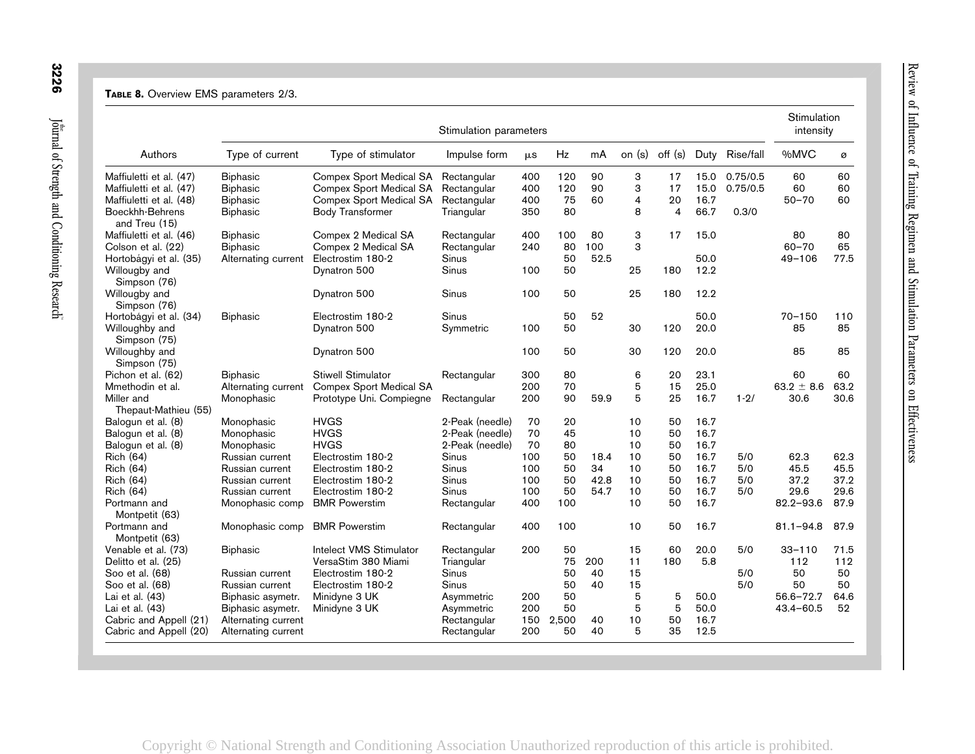#### TABLE 8. Overview EMS parameters 2/3.

| off (s)<br>%MVC<br>Authors<br>Type of current<br>Type of stimulator<br>Hz<br>mA<br>on (s)<br>Duty<br>Rise/fall<br>Impulse form<br>$\mu$ s<br>Maffiuletti et al. (47)<br>Compex Sport Medical SA<br>400<br>120<br>90<br>3<br>15.0<br>0.75/0.5<br>60<br><b>Biphasic</b><br>Rectangular<br>17<br>3<br>Compex Sport Medical SA<br>90<br>17<br>15.0<br>0.75/0.5<br>60<br>Maffiuletti et al. (47)<br><b>Biphasic</b><br>Rectangular<br>400<br>120<br>75<br>60<br>$\overline{4}$<br>20<br>16.7<br>$50 - 70$<br><b>Biphasic</b><br><b>Compex Sport Medical SA</b><br>Rectangular<br>400<br>Maffiuletti et al. (48)<br>80<br>8<br>66.7<br>Boeckhh-Behrens<br><b>Body Transformer</b><br>350<br>$\overline{4}$<br>0.3/0<br><b>Biphasic</b><br>Triangular<br>and Treu (15)<br>Compex 2 Medical SA<br>400<br>100<br>3<br>17<br>15.0<br>80<br>Maffiuletti et al. (46)<br><b>Biphasic</b><br>Rectangular<br>80<br>3<br>$60 - 70$<br>80<br>100<br><b>Biphasic</b><br>Compex 2 Medical SA<br>240<br>Colson et al. (22)<br>Rectangular<br>Electrostim 180-2<br>50<br>52.5<br>50.0<br>$49 - 106$<br>Hortobágyi et al. (35)<br>Alternating current<br>Sinus<br>12.2<br>Sinus<br>50<br>25<br>180<br>Willougby and<br>Dynatron 500<br>100<br>Simpson (76)<br>Sinus<br>25<br>180<br>12.2<br>Willougby and<br>Dynatron 500<br>100<br>50<br>Simpson (76)<br>52<br>Hortobágyi et al. (34)<br><b>Biphasic</b><br>Sinus<br>50<br>50.0<br>$70 - 150$<br>Electrostim 180-2<br>100<br>50<br>30<br>120<br>20.0<br>85<br>Willoughby and<br>Dynatron 500<br>Symmetric<br>Simpson (75)<br>Willoughby and<br>100<br>50<br>30<br>120<br>20.0<br>85<br>Dynatron 500<br>Simpson (75)<br>23.1<br><b>Stiwell Stimulator</b><br>300<br>80<br>6<br>20<br>60<br>Pichon et al. (62)<br><b>Biphasic</b><br>Rectangular<br>5<br>70<br>25.0<br>Compex Sport Medical SA<br>200<br>15<br>63.2 $\pm$ 8.6<br>Mmethodin et al.<br>Alternating current<br>5<br>90<br>59.9<br>25<br>16.7<br>$1 - 2/$<br>30.6<br>Miller and<br>Prototype Uni. Compiegne<br>200<br>Monophasic<br>Rectangular<br>Thepaut-Mathieu (55)<br><b>HVGS</b><br>2-Peak (needle)<br>70<br>20<br>10<br>50<br>16.7<br>Balogun et al. (8)<br>Monophasic<br>70<br>45<br>10<br>16.7<br>Monophasic<br><b>HVGS</b><br>50<br>Balogun et al. (8)<br>2-Peak (needle)<br><b>HVGS</b><br>70<br>80<br>10<br>16.7<br>Monophasic<br>2-Peak (needle)<br>50<br>Balogun et al. (8)<br>16.7<br>Rich (64)<br>Electrostim 180-2<br>Sinus<br>100<br>50<br>18.4<br>10<br>50<br>5/0<br>62.3<br>Russian current<br>50<br>34<br>16.7<br>45.5<br>Sinus<br>100<br>10<br>50<br>5/0<br>Rich (64)<br>Russian current<br>Electrostim 180-2<br>Sinus<br>100<br>50<br>42.8<br>10<br>50<br>16.7<br>5/0<br>37.2<br>Rich (64)<br>Russian current<br>Electrostim 180-2<br>100<br>50<br>54.7<br>10<br>50<br>16.7<br>5/0<br>29.6<br>Rich (64)<br>Electrostim 180-2<br>Sinus<br>Russian current<br>10<br>50<br>16.7<br><b>BMR Powerstim</b><br>400<br>100<br>$82.2 - 93.6$<br>Portmann and<br>Monophasic comp<br>Rectangular<br>Montpetit (63)<br><b>BMR Powerstim</b><br>400<br>100<br>10<br>50<br>16.7<br>$81.1 - 94.8$<br>Portmann and<br>Monophasic comp<br>Rectangular<br>Montpetit (63)<br>Intelect VMS Stimulator<br>Venable et al. (73)<br>200<br>50<br>15<br>60<br>20.0<br>5/0<br>$33 - 110$<br><b>Biphasic</b><br>Rectangular<br>75<br>200<br>180<br>5.8<br>VersaStim 380 Miami<br>11<br>112<br>Delitto et al. (25)<br>Triangular<br>50<br>40<br>15<br>50<br>Soo et al. (68)<br>Russian current<br>Electrostim 180-2<br>Sinus<br>5/0<br>15<br>Sinus<br>50<br>40<br>5/0<br>50<br>Soo et al. (68)<br>Russian current<br>Electrostim 180-2<br>5<br>50<br>5<br>50.0<br>$56.6 - 72.7$<br>Lai et al. (43)<br>Minidyne 3 UK<br>200<br>Biphasic asymetr.<br>Asymmetric<br>5<br>50<br>5<br>50.0<br>Minidyne 3 UK<br>200<br>Lai et al. (43)<br>Biphasic asymetr.<br>Asymmetric<br>$43.4 - 60.5$ |  | Stimulation parameters |  |  |  | Stimulation<br>intensity |      |
|----------------------------------------------------------------------------------------------------------------------------------------------------------------------------------------------------------------------------------------------------------------------------------------------------------------------------------------------------------------------------------------------------------------------------------------------------------------------------------------------------------------------------------------------------------------------------------------------------------------------------------------------------------------------------------------------------------------------------------------------------------------------------------------------------------------------------------------------------------------------------------------------------------------------------------------------------------------------------------------------------------------------------------------------------------------------------------------------------------------------------------------------------------------------------------------------------------------------------------------------------------------------------------------------------------------------------------------------------------------------------------------------------------------------------------------------------------------------------------------------------------------------------------------------------------------------------------------------------------------------------------------------------------------------------------------------------------------------------------------------------------------------------------------------------------------------------------------------------------------------------------------------------------------------------------------------------------------------------------------------------------------------------------------------------------------------------------------------------------------------------------------------------------------------------------------------------------------------------------------------------------------------------------------------------------------------------------------------------------------------------------------------------------------------------------------------------------------------------------------------------------------------------------------------------------------------------------------------------------------------------------------------------------------------------------------------------------------------------------------------------------------------------------------------------------------------------------------------------------------------------------------------------------------------------------------------------------------------------------------------------------------------------------------------------------------------------------------------------------------------------------------------------------------------------------------------------------------------------------------------------------------------------------------------------------------------------------------------------------------------------------------------------------------------------------------------------------------------------------------------------------------------------------------------------------------------------------------------------------------------------------------------------------------------------------------------------------------------------------------------------------------------------------------------------------------------------------------------------------------------|--|------------------------|--|--|--|--------------------------|------|
|                                                                                                                                                                                                                                                                                                                                                                                                                                                                                                                                                                                                                                                                                                                                                                                                                                                                                                                                                                                                                                                                                                                                                                                                                                                                                                                                                                                                                                                                                                                                                                                                                                                                                                                                                                                                                                                                                                                                                                                                                                                                                                                                                                                                                                                                                                                                                                                                                                                                                                                                                                                                                                                                                                                                                                                                                                                                                                                                                                                                                                                                                                                                                                                                                                                                                                                                                                                                                                                                                                                                                                                                                                                                                                                                                                                                                                                                      |  |                        |  |  |  |                          | ø    |
|                                                                                                                                                                                                                                                                                                                                                                                                                                                                                                                                                                                                                                                                                                                                                                                                                                                                                                                                                                                                                                                                                                                                                                                                                                                                                                                                                                                                                                                                                                                                                                                                                                                                                                                                                                                                                                                                                                                                                                                                                                                                                                                                                                                                                                                                                                                                                                                                                                                                                                                                                                                                                                                                                                                                                                                                                                                                                                                                                                                                                                                                                                                                                                                                                                                                                                                                                                                                                                                                                                                                                                                                                                                                                                                                                                                                                                                                      |  |                        |  |  |  |                          | 60   |
|                                                                                                                                                                                                                                                                                                                                                                                                                                                                                                                                                                                                                                                                                                                                                                                                                                                                                                                                                                                                                                                                                                                                                                                                                                                                                                                                                                                                                                                                                                                                                                                                                                                                                                                                                                                                                                                                                                                                                                                                                                                                                                                                                                                                                                                                                                                                                                                                                                                                                                                                                                                                                                                                                                                                                                                                                                                                                                                                                                                                                                                                                                                                                                                                                                                                                                                                                                                                                                                                                                                                                                                                                                                                                                                                                                                                                                                                      |  |                        |  |  |  |                          | 60   |
|                                                                                                                                                                                                                                                                                                                                                                                                                                                                                                                                                                                                                                                                                                                                                                                                                                                                                                                                                                                                                                                                                                                                                                                                                                                                                                                                                                                                                                                                                                                                                                                                                                                                                                                                                                                                                                                                                                                                                                                                                                                                                                                                                                                                                                                                                                                                                                                                                                                                                                                                                                                                                                                                                                                                                                                                                                                                                                                                                                                                                                                                                                                                                                                                                                                                                                                                                                                                                                                                                                                                                                                                                                                                                                                                                                                                                                                                      |  |                        |  |  |  |                          | 60   |
|                                                                                                                                                                                                                                                                                                                                                                                                                                                                                                                                                                                                                                                                                                                                                                                                                                                                                                                                                                                                                                                                                                                                                                                                                                                                                                                                                                                                                                                                                                                                                                                                                                                                                                                                                                                                                                                                                                                                                                                                                                                                                                                                                                                                                                                                                                                                                                                                                                                                                                                                                                                                                                                                                                                                                                                                                                                                                                                                                                                                                                                                                                                                                                                                                                                                                                                                                                                                                                                                                                                                                                                                                                                                                                                                                                                                                                                                      |  |                        |  |  |  |                          |      |
|                                                                                                                                                                                                                                                                                                                                                                                                                                                                                                                                                                                                                                                                                                                                                                                                                                                                                                                                                                                                                                                                                                                                                                                                                                                                                                                                                                                                                                                                                                                                                                                                                                                                                                                                                                                                                                                                                                                                                                                                                                                                                                                                                                                                                                                                                                                                                                                                                                                                                                                                                                                                                                                                                                                                                                                                                                                                                                                                                                                                                                                                                                                                                                                                                                                                                                                                                                                                                                                                                                                                                                                                                                                                                                                                                                                                                                                                      |  |                        |  |  |  |                          | 80   |
|                                                                                                                                                                                                                                                                                                                                                                                                                                                                                                                                                                                                                                                                                                                                                                                                                                                                                                                                                                                                                                                                                                                                                                                                                                                                                                                                                                                                                                                                                                                                                                                                                                                                                                                                                                                                                                                                                                                                                                                                                                                                                                                                                                                                                                                                                                                                                                                                                                                                                                                                                                                                                                                                                                                                                                                                                                                                                                                                                                                                                                                                                                                                                                                                                                                                                                                                                                                                                                                                                                                                                                                                                                                                                                                                                                                                                                                                      |  |                        |  |  |  |                          | 65   |
|                                                                                                                                                                                                                                                                                                                                                                                                                                                                                                                                                                                                                                                                                                                                                                                                                                                                                                                                                                                                                                                                                                                                                                                                                                                                                                                                                                                                                                                                                                                                                                                                                                                                                                                                                                                                                                                                                                                                                                                                                                                                                                                                                                                                                                                                                                                                                                                                                                                                                                                                                                                                                                                                                                                                                                                                                                                                                                                                                                                                                                                                                                                                                                                                                                                                                                                                                                                                                                                                                                                                                                                                                                                                                                                                                                                                                                                                      |  |                        |  |  |  |                          | 77.5 |
|                                                                                                                                                                                                                                                                                                                                                                                                                                                                                                                                                                                                                                                                                                                                                                                                                                                                                                                                                                                                                                                                                                                                                                                                                                                                                                                                                                                                                                                                                                                                                                                                                                                                                                                                                                                                                                                                                                                                                                                                                                                                                                                                                                                                                                                                                                                                                                                                                                                                                                                                                                                                                                                                                                                                                                                                                                                                                                                                                                                                                                                                                                                                                                                                                                                                                                                                                                                                                                                                                                                                                                                                                                                                                                                                                                                                                                                                      |  |                        |  |  |  |                          |      |
|                                                                                                                                                                                                                                                                                                                                                                                                                                                                                                                                                                                                                                                                                                                                                                                                                                                                                                                                                                                                                                                                                                                                                                                                                                                                                                                                                                                                                                                                                                                                                                                                                                                                                                                                                                                                                                                                                                                                                                                                                                                                                                                                                                                                                                                                                                                                                                                                                                                                                                                                                                                                                                                                                                                                                                                                                                                                                                                                                                                                                                                                                                                                                                                                                                                                                                                                                                                                                                                                                                                                                                                                                                                                                                                                                                                                                                                                      |  |                        |  |  |  |                          |      |
|                                                                                                                                                                                                                                                                                                                                                                                                                                                                                                                                                                                                                                                                                                                                                                                                                                                                                                                                                                                                                                                                                                                                                                                                                                                                                                                                                                                                                                                                                                                                                                                                                                                                                                                                                                                                                                                                                                                                                                                                                                                                                                                                                                                                                                                                                                                                                                                                                                                                                                                                                                                                                                                                                                                                                                                                                                                                                                                                                                                                                                                                                                                                                                                                                                                                                                                                                                                                                                                                                                                                                                                                                                                                                                                                                                                                                                                                      |  |                        |  |  |  |                          | 110  |
|                                                                                                                                                                                                                                                                                                                                                                                                                                                                                                                                                                                                                                                                                                                                                                                                                                                                                                                                                                                                                                                                                                                                                                                                                                                                                                                                                                                                                                                                                                                                                                                                                                                                                                                                                                                                                                                                                                                                                                                                                                                                                                                                                                                                                                                                                                                                                                                                                                                                                                                                                                                                                                                                                                                                                                                                                                                                                                                                                                                                                                                                                                                                                                                                                                                                                                                                                                                                                                                                                                                                                                                                                                                                                                                                                                                                                                                                      |  |                        |  |  |  |                          | 85   |
|                                                                                                                                                                                                                                                                                                                                                                                                                                                                                                                                                                                                                                                                                                                                                                                                                                                                                                                                                                                                                                                                                                                                                                                                                                                                                                                                                                                                                                                                                                                                                                                                                                                                                                                                                                                                                                                                                                                                                                                                                                                                                                                                                                                                                                                                                                                                                                                                                                                                                                                                                                                                                                                                                                                                                                                                                                                                                                                                                                                                                                                                                                                                                                                                                                                                                                                                                                                                                                                                                                                                                                                                                                                                                                                                                                                                                                                                      |  |                        |  |  |  |                          | 85   |
|                                                                                                                                                                                                                                                                                                                                                                                                                                                                                                                                                                                                                                                                                                                                                                                                                                                                                                                                                                                                                                                                                                                                                                                                                                                                                                                                                                                                                                                                                                                                                                                                                                                                                                                                                                                                                                                                                                                                                                                                                                                                                                                                                                                                                                                                                                                                                                                                                                                                                                                                                                                                                                                                                                                                                                                                                                                                                                                                                                                                                                                                                                                                                                                                                                                                                                                                                                                                                                                                                                                                                                                                                                                                                                                                                                                                                                                                      |  |                        |  |  |  |                          | 60   |
|                                                                                                                                                                                                                                                                                                                                                                                                                                                                                                                                                                                                                                                                                                                                                                                                                                                                                                                                                                                                                                                                                                                                                                                                                                                                                                                                                                                                                                                                                                                                                                                                                                                                                                                                                                                                                                                                                                                                                                                                                                                                                                                                                                                                                                                                                                                                                                                                                                                                                                                                                                                                                                                                                                                                                                                                                                                                                                                                                                                                                                                                                                                                                                                                                                                                                                                                                                                                                                                                                                                                                                                                                                                                                                                                                                                                                                                                      |  |                        |  |  |  |                          | 63.2 |
|                                                                                                                                                                                                                                                                                                                                                                                                                                                                                                                                                                                                                                                                                                                                                                                                                                                                                                                                                                                                                                                                                                                                                                                                                                                                                                                                                                                                                                                                                                                                                                                                                                                                                                                                                                                                                                                                                                                                                                                                                                                                                                                                                                                                                                                                                                                                                                                                                                                                                                                                                                                                                                                                                                                                                                                                                                                                                                                                                                                                                                                                                                                                                                                                                                                                                                                                                                                                                                                                                                                                                                                                                                                                                                                                                                                                                                                                      |  |                        |  |  |  |                          | 30.6 |
|                                                                                                                                                                                                                                                                                                                                                                                                                                                                                                                                                                                                                                                                                                                                                                                                                                                                                                                                                                                                                                                                                                                                                                                                                                                                                                                                                                                                                                                                                                                                                                                                                                                                                                                                                                                                                                                                                                                                                                                                                                                                                                                                                                                                                                                                                                                                                                                                                                                                                                                                                                                                                                                                                                                                                                                                                                                                                                                                                                                                                                                                                                                                                                                                                                                                                                                                                                                                                                                                                                                                                                                                                                                                                                                                                                                                                                                                      |  |                        |  |  |  |                          |      |
|                                                                                                                                                                                                                                                                                                                                                                                                                                                                                                                                                                                                                                                                                                                                                                                                                                                                                                                                                                                                                                                                                                                                                                                                                                                                                                                                                                                                                                                                                                                                                                                                                                                                                                                                                                                                                                                                                                                                                                                                                                                                                                                                                                                                                                                                                                                                                                                                                                                                                                                                                                                                                                                                                                                                                                                                                                                                                                                                                                                                                                                                                                                                                                                                                                                                                                                                                                                                                                                                                                                                                                                                                                                                                                                                                                                                                                                                      |  |                        |  |  |  |                          |      |
|                                                                                                                                                                                                                                                                                                                                                                                                                                                                                                                                                                                                                                                                                                                                                                                                                                                                                                                                                                                                                                                                                                                                                                                                                                                                                                                                                                                                                                                                                                                                                                                                                                                                                                                                                                                                                                                                                                                                                                                                                                                                                                                                                                                                                                                                                                                                                                                                                                                                                                                                                                                                                                                                                                                                                                                                                                                                                                                                                                                                                                                                                                                                                                                                                                                                                                                                                                                                                                                                                                                                                                                                                                                                                                                                                                                                                                                                      |  |                        |  |  |  |                          |      |
|                                                                                                                                                                                                                                                                                                                                                                                                                                                                                                                                                                                                                                                                                                                                                                                                                                                                                                                                                                                                                                                                                                                                                                                                                                                                                                                                                                                                                                                                                                                                                                                                                                                                                                                                                                                                                                                                                                                                                                                                                                                                                                                                                                                                                                                                                                                                                                                                                                                                                                                                                                                                                                                                                                                                                                                                                                                                                                                                                                                                                                                                                                                                                                                                                                                                                                                                                                                                                                                                                                                                                                                                                                                                                                                                                                                                                                                                      |  |                        |  |  |  |                          | 62.3 |
|                                                                                                                                                                                                                                                                                                                                                                                                                                                                                                                                                                                                                                                                                                                                                                                                                                                                                                                                                                                                                                                                                                                                                                                                                                                                                                                                                                                                                                                                                                                                                                                                                                                                                                                                                                                                                                                                                                                                                                                                                                                                                                                                                                                                                                                                                                                                                                                                                                                                                                                                                                                                                                                                                                                                                                                                                                                                                                                                                                                                                                                                                                                                                                                                                                                                                                                                                                                                                                                                                                                                                                                                                                                                                                                                                                                                                                                                      |  |                        |  |  |  |                          | 45.5 |
|                                                                                                                                                                                                                                                                                                                                                                                                                                                                                                                                                                                                                                                                                                                                                                                                                                                                                                                                                                                                                                                                                                                                                                                                                                                                                                                                                                                                                                                                                                                                                                                                                                                                                                                                                                                                                                                                                                                                                                                                                                                                                                                                                                                                                                                                                                                                                                                                                                                                                                                                                                                                                                                                                                                                                                                                                                                                                                                                                                                                                                                                                                                                                                                                                                                                                                                                                                                                                                                                                                                                                                                                                                                                                                                                                                                                                                                                      |  |                        |  |  |  |                          | 37.2 |
|                                                                                                                                                                                                                                                                                                                                                                                                                                                                                                                                                                                                                                                                                                                                                                                                                                                                                                                                                                                                                                                                                                                                                                                                                                                                                                                                                                                                                                                                                                                                                                                                                                                                                                                                                                                                                                                                                                                                                                                                                                                                                                                                                                                                                                                                                                                                                                                                                                                                                                                                                                                                                                                                                                                                                                                                                                                                                                                                                                                                                                                                                                                                                                                                                                                                                                                                                                                                                                                                                                                                                                                                                                                                                                                                                                                                                                                                      |  |                        |  |  |  |                          | 29.6 |
|                                                                                                                                                                                                                                                                                                                                                                                                                                                                                                                                                                                                                                                                                                                                                                                                                                                                                                                                                                                                                                                                                                                                                                                                                                                                                                                                                                                                                                                                                                                                                                                                                                                                                                                                                                                                                                                                                                                                                                                                                                                                                                                                                                                                                                                                                                                                                                                                                                                                                                                                                                                                                                                                                                                                                                                                                                                                                                                                                                                                                                                                                                                                                                                                                                                                                                                                                                                                                                                                                                                                                                                                                                                                                                                                                                                                                                                                      |  |                        |  |  |  |                          | 87.9 |
|                                                                                                                                                                                                                                                                                                                                                                                                                                                                                                                                                                                                                                                                                                                                                                                                                                                                                                                                                                                                                                                                                                                                                                                                                                                                                                                                                                                                                                                                                                                                                                                                                                                                                                                                                                                                                                                                                                                                                                                                                                                                                                                                                                                                                                                                                                                                                                                                                                                                                                                                                                                                                                                                                                                                                                                                                                                                                                                                                                                                                                                                                                                                                                                                                                                                                                                                                                                                                                                                                                                                                                                                                                                                                                                                                                                                                                                                      |  |                        |  |  |  |                          | 87.9 |
|                                                                                                                                                                                                                                                                                                                                                                                                                                                                                                                                                                                                                                                                                                                                                                                                                                                                                                                                                                                                                                                                                                                                                                                                                                                                                                                                                                                                                                                                                                                                                                                                                                                                                                                                                                                                                                                                                                                                                                                                                                                                                                                                                                                                                                                                                                                                                                                                                                                                                                                                                                                                                                                                                                                                                                                                                                                                                                                                                                                                                                                                                                                                                                                                                                                                                                                                                                                                                                                                                                                                                                                                                                                                                                                                                                                                                                                                      |  |                        |  |  |  |                          | 71.5 |
|                                                                                                                                                                                                                                                                                                                                                                                                                                                                                                                                                                                                                                                                                                                                                                                                                                                                                                                                                                                                                                                                                                                                                                                                                                                                                                                                                                                                                                                                                                                                                                                                                                                                                                                                                                                                                                                                                                                                                                                                                                                                                                                                                                                                                                                                                                                                                                                                                                                                                                                                                                                                                                                                                                                                                                                                                                                                                                                                                                                                                                                                                                                                                                                                                                                                                                                                                                                                                                                                                                                                                                                                                                                                                                                                                                                                                                                                      |  |                        |  |  |  |                          | 112  |
|                                                                                                                                                                                                                                                                                                                                                                                                                                                                                                                                                                                                                                                                                                                                                                                                                                                                                                                                                                                                                                                                                                                                                                                                                                                                                                                                                                                                                                                                                                                                                                                                                                                                                                                                                                                                                                                                                                                                                                                                                                                                                                                                                                                                                                                                                                                                                                                                                                                                                                                                                                                                                                                                                                                                                                                                                                                                                                                                                                                                                                                                                                                                                                                                                                                                                                                                                                                                                                                                                                                                                                                                                                                                                                                                                                                                                                                                      |  |                        |  |  |  |                          | 50   |
|                                                                                                                                                                                                                                                                                                                                                                                                                                                                                                                                                                                                                                                                                                                                                                                                                                                                                                                                                                                                                                                                                                                                                                                                                                                                                                                                                                                                                                                                                                                                                                                                                                                                                                                                                                                                                                                                                                                                                                                                                                                                                                                                                                                                                                                                                                                                                                                                                                                                                                                                                                                                                                                                                                                                                                                                                                                                                                                                                                                                                                                                                                                                                                                                                                                                                                                                                                                                                                                                                                                                                                                                                                                                                                                                                                                                                                                                      |  |                        |  |  |  |                          | 50   |
|                                                                                                                                                                                                                                                                                                                                                                                                                                                                                                                                                                                                                                                                                                                                                                                                                                                                                                                                                                                                                                                                                                                                                                                                                                                                                                                                                                                                                                                                                                                                                                                                                                                                                                                                                                                                                                                                                                                                                                                                                                                                                                                                                                                                                                                                                                                                                                                                                                                                                                                                                                                                                                                                                                                                                                                                                                                                                                                                                                                                                                                                                                                                                                                                                                                                                                                                                                                                                                                                                                                                                                                                                                                                                                                                                                                                                                                                      |  |                        |  |  |  |                          | 64.6 |
|                                                                                                                                                                                                                                                                                                                                                                                                                                                                                                                                                                                                                                                                                                                                                                                                                                                                                                                                                                                                                                                                                                                                                                                                                                                                                                                                                                                                                                                                                                                                                                                                                                                                                                                                                                                                                                                                                                                                                                                                                                                                                                                                                                                                                                                                                                                                                                                                                                                                                                                                                                                                                                                                                                                                                                                                                                                                                                                                                                                                                                                                                                                                                                                                                                                                                                                                                                                                                                                                                                                                                                                                                                                                                                                                                                                                                                                                      |  |                        |  |  |  |                          | 52   |
| 150<br>2,500<br>40<br>10<br>50<br>16.7<br>Cabric and Appell (21)<br>Alternating current<br>Rectangular                                                                                                                                                                                                                                                                                                                                                                                                                                                                                                                                                                                                                                                                                                                                                                                                                                                                                                                                                                                                                                                                                                                                                                                                                                                                                                                                                                                                                                                                                                                                                                                                                                                                                                                                                                                                                                                                                                                                                                                                                                                                                                                                                                                                                                                                                                                                                                                                                                                                                                                                                                                                                                                                                                                                                                                                                                                                                                                                                                                                                                                                                                                                                                                                                                                                                                                                                                                                                                                                                                                                                                                                                                                                                                                                                               |  |                        |  |  |  |                          |      |
| 50<br>5<br>40<br>35<br>12.5<br>Cabric and Appell (20)<br>Alternating current<br>Rectangular<br>200                                                                                                                                                                                                                                                                                                                                                                                                                                                                                                                                                                                                                                                                                                                                                                                                                                                                                                                                                                                                                                                                                                                                                                                                                                                                                                                                                                                                                                                                                                                                                                                                                                                                                                                                                                                                                                                                                                                                                                                                                                                                                                                                                                                                                                                                                                                                                                                                                                                                                                                                                                                                                                                                                                                                                                                                                                                                                                                                                                                                                                                                                                                                                                                                                                                                                                                                                                                                                                                                                                                                                                                                                                                                                                                                                                   |  |                        |  |  |  |                          |      |
|                                                                                                                                                                                                                                                                                                                                                                                                                                                                                                                                                                                                                                                                                                                                                                                                                                                                                                                                                                                                                                                                                                                                                                                                                                                                                                                                                                                                                                                                                                                                                                                                                                                                                                                                                                                                                                                                                                                                                                                                                                                                                                                                                                                                                                                                                                                                                                                                                                                                                                                                                                                                                                                                                                                                                                                                                                                                                                                                                                                                                                                                                                                                                                                                                                                                                                                                                                                                                                                                                                                                                                                                                                                                                                                                                                                                                                                                      |  |                        |  |  |  |                          |      |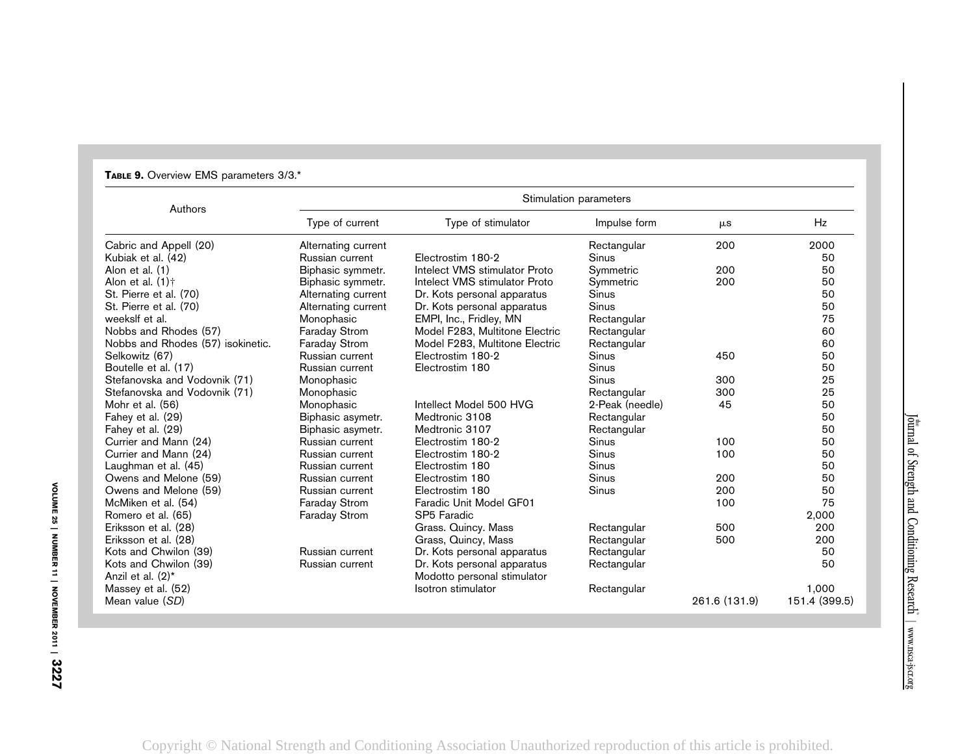| Authors                           |                      |                                | Stimulation parameters |               |               |
|-----------------------------------|----------------------|--------------------------------|------------------------|---------------|---------------|
|                                   | Type of current      | Type of stimulator             | Impulse form           | $\mu$ s       | Hz            |
| Cabric and Appell (20)            | Alternating current  |                                | Rectangular            | 200           | 2000          |
| Kubiak et al. (42)                | Russian current      | Electrostim 180-2              | Sinus                  |               | 50            |
| Alon et al. (1)                   | Biphasic symmetr.    | Intelect VMS stimulator Proto  | Symmetric              | 200           | 50            |
| Alon et al. $(1)$ <sup>+</sup>    | Biphasic symmetr.    | Intelect VMS stimulator Proto  | Symmetric              | 200           | 50            |
| St. Pierre et al. (70)            | Alternating current  | Dr. Kots personal apparatus    | Sinus                  |               | 50            |
| St. Pierre et al. (70)            | Alternating current  | Dr. Kots personal apparatus    | Sinus                  |               | 50            |
| weekslf et al.                    | Monophasic           | EMPI, Inc., Fridley, MN        | Rectangular            |               | 75            |
| Nobbs and Rhodes (57)             | <b>Faraday Strom</b> | Model F283, Multitone Electric | Rectangular            |               | 60            |
| Nobbs and Rhodes (57) isokinetic. | Faraday Strom        | Model F283, Multitone Electric | Rectangular            |               | 60            |
| Selkowitz (67)                    | Russian current      | Electrostim 180-2              | <b>Sinus</b>           | 450           | 50            |
| Boutelle et al. (17)              | Russian current      | Electrostim 180                | Sinus                  |               | 50            |
| Stefanovska and Vodovnik (71)     | Monophasic           |                                | Sinus                  | 300           | 25            |
| Stefanovska and Vodovnik (71)     | Monophasic           |                                | Rectangular            | 300           | 25            |
| Mohr et al. (56)                  | Monophasic           | Intellect Model 500 HVG        | 2-Peak (needle)        | 45            | 50            |
| Fahey et al. (29)                 | Biphasic asymetr.    | Medtronic 3108                 | Rectangular            |               | 50            |
| Fahey et al. (29)                 | Biphasic asymetr.    | Medtronic 3107                 | Rectangular            |               | 50            |
| Currier and Mann (24)             | Russian current      | Electrostim 180-2              | Sinus                  | 100           | 50            |
| Currier and Mann (24)             | Russian current      | Electrostim 180-2              | Sinus                  | 100           | 50            |
| Laughman et al. (45)              | Russian current      | Electrostim 180                | Sinus                  |               | 50            |
| Owens and Melone (59)             | Russian current      | Electrostim 180                | Sinus                  | 200           | 50            |
| Owens and Melone (59)             | Russian current      | Electrostim 180                | Sinus                  | 200           | 50            |
| McMiken et al. (54)               | <b>Faraday Strom</b> | Faradic Unit Model GF01        |                        | 100           | 75            |
| Romero et al. (65)                | <b>Faraday Strom</b> | SP5 Faradic                    |                        |               | 2,000         |
| Eriksson et al. (28)              |                      | Grass. Quincy. Mass            | Rectangular            | 500           | 200           |
| Eriksson et al. (28)              |                      | Grass, Quincy, Mass            | Rectangular            | 500           | 200           |
| Kots and Chwilon (39)             | Russian current      | Dr. Kots personal apparatus    | Rectangular            |               | 50            |
| Kots and Chwilon (39)             | Russian current      | Dr. Kots personal apparatus    | Rectangular            |               | 50            |
| Anzil et al. (2)*                 |                      | Modotto personal stimulator    |                        |               |               |
| Massey et al. (52)                |                      | Isotron stimulator             | Rectangular            |               | 1,000         |
| Mean value (SD)                   |                      |                                |                        | 261.6 (131.9) | 151.4 (399.5) |

# TABLE 9. Overview EMS parameters 3/3.\*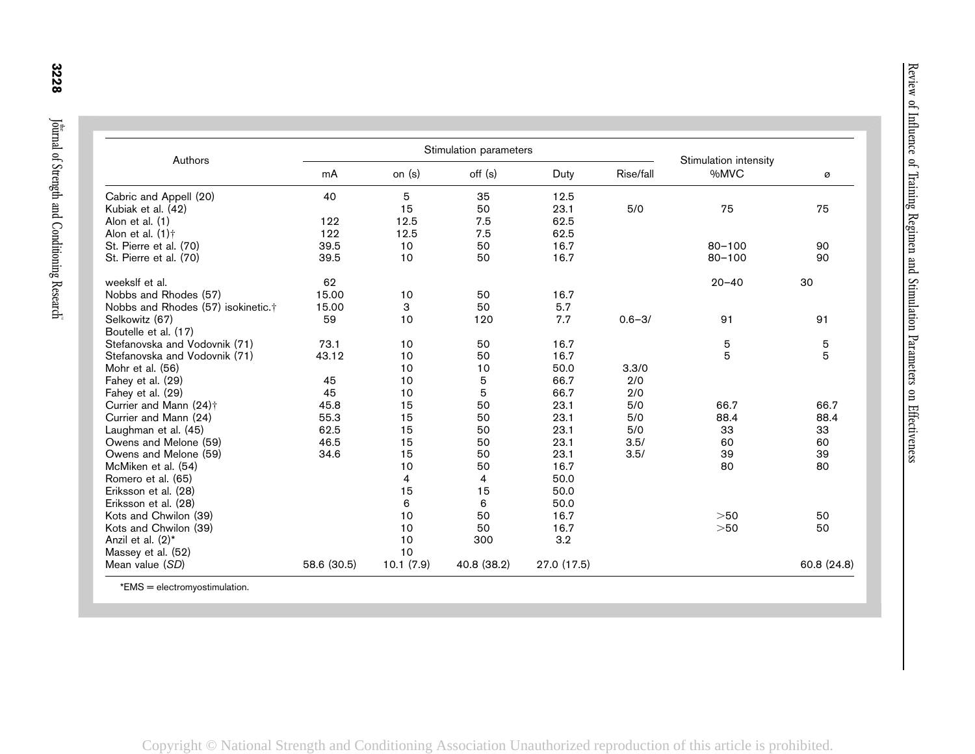| Authors                                        |             |           | Stimulation parameters |             |            | Stimulation intensity |             |
|------------------------------------------------|-------------|-----------|------------------------|-------------|------------|-----------------------|-------------|
|                                                | mA          | on $(s)$  | off (s)                | Duty        | Rise/fall  | %MVC                  | ø           |
| Cabric and Appell (20)                         | 40          | 5         | 35                     | 12.5        |            |                       |             |
| Kubiak et al. (42)                             |             | 15        | 50                     | 23.1        | 5/0        | 75                    | 75          |
| Alon et al. (1)                                | 122         | 12.5      | 7.5                    | 62.5        |            |                       |             |
| Alon et al. $(1)$ <sup>+</sup>                 | 122         | 12.5      | 7.5                    | 62.5        |            |                       |             |
| St. Pierre et al. (70)                         | 39.5        | 10        | 50                     | 16.7        |            | $80 - 100$            | 90          |
| St. Pierre et al. (70)                         | 39.5        | 10        | 50                     | 16.7        |            | $80 - 100$            | 90          |
| weekslf et al.                                 | 62          |           |                        |             |            | $20 - 40$             | 30          |
| Nobbs and Rhodes (57)                          | 15.00       | 10        | 50                     | 16.7        |            |                       |             |
| Nobbs and Rhodes (57) isokinetic. <sup>†</sup> | 15.00       | 3         | 50                     | 5.7         |            |                       |             |
| Selkowitz (67)                                 | 59          | 10        | 120                    | 7.7         | $0.6 - 3/$ | 91                    | 91          |
| Boutelle et al. (17)                           |             |           |                        |             |            |                       |             |
| Stefanovska and Vodovnik (71)                  | 73.1        | 10        | 50                     | 16.7        |            | 5                     | 5           |
| Stefanovska and Vodovnik (71)                  | 43.12       | 10        | 50                     | 16.7        |            | 5                     | 5           |
| Mohr et al. (56)                               |             | 10        | $10$                   | 50.0        | 3.3/0      |                       |             |
| Fahey et al. (29)                              | 45          | 10        | 5                      | 66.7        | 2/0        |                       |             |
| Fahey et al. (29)                              | 45          | 10        | 5                      | 66.7        | 2/0        |                       |             |
| Currier and Mann (24)†                         | 45.8        | 15        | 50                     | 23.1        | 5/0        | 66.7                  | 66.7        |
| Currier and Mann (24)                          | 55.3        | 15        | 50                     | 23.1        | 5/0        | 88.4                  | 88.4        |
| Laughman et al. (45)                           | 62.5        | 15        | 50                     | 23.1        | 5/0        | 33                    | 33          |
| Owens and Melone (59)                          | 46.5        | 15        | 50                     | 23.1        | 3.5/       | 60                    | 60          |
| Owens and Melone (59)                          | 34.6        | 15        | 50                     | 23.1        | 3.5/       | 39                    | 39          |
| McMiken et al. (54)                            |             | 10        | 50                     | 16.7        |            | 80                    | 80          |
| Romero et al. (65)                             |             | 4         | 4                      | 50.0        |            |                       |             |
| Eriksson et al. (28)                           |             | 15        | 15                     | 50.0        |            |                       |             |
| Eriksson et al. (28)                           |             | 6         | 6                      | 50.0        |            |                       |             |
| Kots and Chwilon (39)                          |             | 10        | 50                     | 16.7        |            | $>50$                 | 50          |
| Kots and Chwilon (39)                          |             | 10        | 50                     | 16.7        |            | $>50$                 | 50          |
| Anzil et al. (2)*                              |             | 10        | 300                    | 3.2         |            |                       |             |
| Massey et al. (52)                             |             | 10        |                        |             |            |                       |             |
| Mean value (SD)                                | 58.6 (30.5) | 10.1(7.9) | 40.8 (38.2)            | 27.0 (17.5) |            |                       | 60.8 (24.8) |

\*EMS <sup>=</sup> electromyostimulation.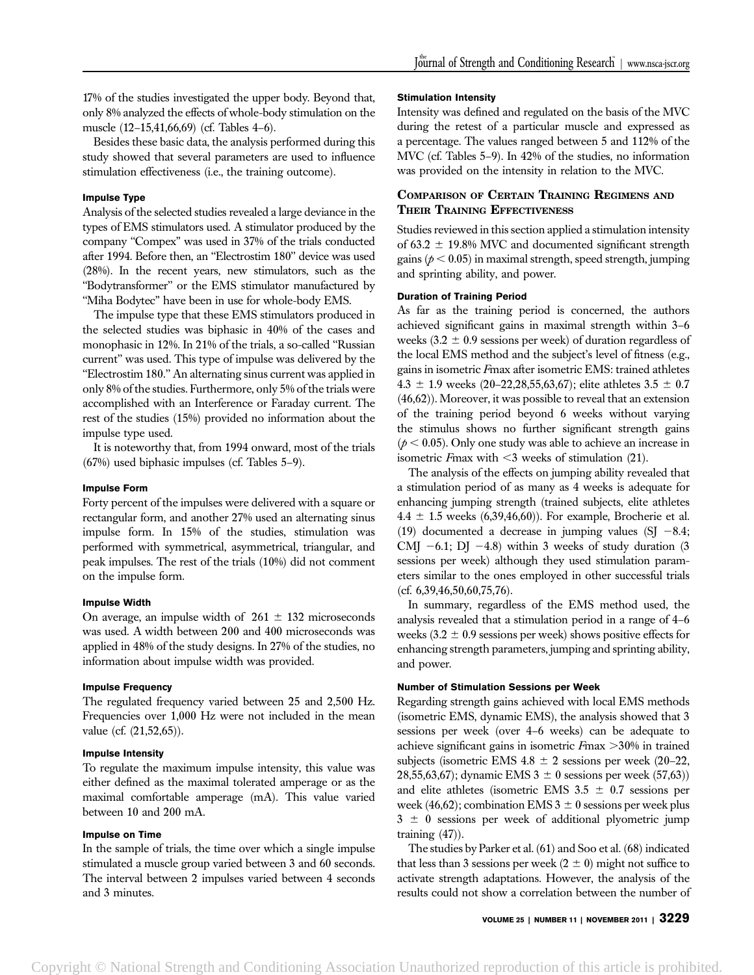17% of the studies investigated the upper body. Beyond that, only 8% analyzed the effects of whole-body stimulation on the muscle (12–15,41,66,69) (cf. Tables 4–6).

Besides these basic data, the analysis performed during this study showed that several parameters are used to influence stimulation effectiveness (i.e., the training outcome).

## Impulse Type

Analysis of the selected studies revealed a large deviance in the types of EMS stimulators used. A stimulator produced by the company ''Compex'' was used in 37% of the trials conducted after 1994. Before then, an ''Electrostim 180'' device was used (28%). In the recent years, new stimulators, such as the ''Bodytransformer'' or the EMS stimulator manufactured by ''Miha Bodytec'' have been in use for whole-body EMS.

The impulse type that these EMS stimulators produced in the selected studies was biphasic in 40% of the cases and monophasic in 12%. In 21% of the trials, a so-called ''Russian current'' was used. This type of impulse was delivered by the ''Electrostim 180.'' An alternating sinus current was applied in only 8% of the studies. Furthermore, only 5% of the trials were accomplished with an Interference or Faraday current. The rest of the studies (15%) provided no information about the impulse type used.

It is noteworthy that, from 1994 onward, most of the trials (67%) used biphasic impulses (cf. Tables 5–9).

#### Impulse Form

Forty percent of the impulses were delivered with a square or rectangular form, and another 27% used an alternating sinus impulse form. In 15% of the studies, stimulation was performed with symmetrical, asymmetrical, triangular, and peak impulses. The rest of the trials (10%) did not comment on the impulse form.

# Impulse Width

On average, an impulse width of  $261 \pm 132$  microseconds was used. A width between 200 and 400 microseconds was applied in 48% of the study designs. In 27% of the studies, no information about impulse width was provided.

#### Impulse Frequency

The regulated frequency varied between 25 and 2,500 Hz. Frequencies over 1,000 Hz were not included in the mean value (cf. (21,52,65)).

## Impulse Intensity

To regulate the maximum impulse intensity, this value was either defined as the maximal tolerated amperage or as the maximal comfortable amperage (mA). This value varied between 10 and 200 mA.

#### Impulse on Time

In the sample of trials, the time over which a single impulse stimulated a muscle group varied between 3 and 60 seconds. The interval between 2 impulses varied between 4 seconds and 3 minutes.

#### Stimulation Intensity

Intensity was defined and regulated on the basis of the MVC during the retest of a particular muscle and expressed as a percentage. The values ranged between 5 and 112% of the MVC (cf. Tables 5–9). In 42% of the studies, no information was provided on the intensity in relation to the MVC.

# COMPARISON OF CERTAIN TRAINING REGIMENS AND THEIR TRAINING EFFECTIVENESS

Studies reviewed in this section applied a stimulation intensity of 63.2  $\pm$  19.8% MVC and documented significant strength gains ( $p < 0.05$ ) in maximal strength, speed strength, jumping and sprinting ability, and power.

# Duration of Training Period

As far as the training period is concerned, the authors achieved significant gains in maximal strength within 3–6 weeks  $(3.2 \pm 0.9$  sessions per week) of duration regardless of the local EMS method and the subject's level of fitness (e.g., gains in isometric Fmax after isometric EMS: trained athletes 4.3  $\pm$  1.9 weeks (20–22,28,55,63,67); elite athletes 3.5  $\pm$  0.7 (46,62)). Moreover, it was possible to reveal that an extension of the training period beyond 6 weeks without varying the stimulus shows no further significant strength gains  $(p < 0.05)$ . Only one study was able to achieve an increase in isometric Fmax with  $\leq$ 3 weeks of stimulation (21).

The analysis of the effects on jumping ability revealed that a stimulation period of as many as 4 weeks is adequate for enhancing jumping strength (trained subjects, elite athletes  $4.4 \pm 1.5$  weeks (6,39,46,60)). For example, Brocherie et al. (19) documented a decrease in jumping values (SJ  $-8.4$ ; CMJ  $-6.1$ ; DJ  $-4.8$ ) within 3 weeks of study duration (3 sessions per week) although they used stimulation parameters similar to the ones employed in other successful trials  $(cf. 6,39,46,50,60,75,76).$ 

In summary, regardless of the EMS method used, the analysis revealed that a stimulation period in a range of 4–6 weeks  $(3.2 \pm 0.9$  sessions per week) shows positive effects for enhancing strength parameters, jumping and sprinting ability, and power.

#### Number of Stimulation Sessions per Week

Regarding strength gains achieved with local EMS methods (isometric EMS, dynamic EMS), the analysis showed that 3 sessions per week (over 4–6 weeks) can be adequate to achieve significant gains in isometric  $F_{\text{max}} > 30\%$  in trained subjects (isometric EMS  $4.8 \pm 2$  sessions per week (20–22, 28,55,63,67); dynamic EMS  $3 \pm 0$  sessions per week (57,63)) and elite athletes (isometric EMS  $3.5 \pm 0.7$  sessions per week (46,62); combination EMS 3  $\pm$  0 sessions per week plus  $3 \pm 0$  sessions per week of additional plyometric jump training (47)).

The studies by Parker et al. (61) and Soo et al. (68) indicated that less than 3 sessions per week  $(2 \pm 0)$  might not suffice to activate strength adaptations. However, the analysis of the results could not show a correlation between the number of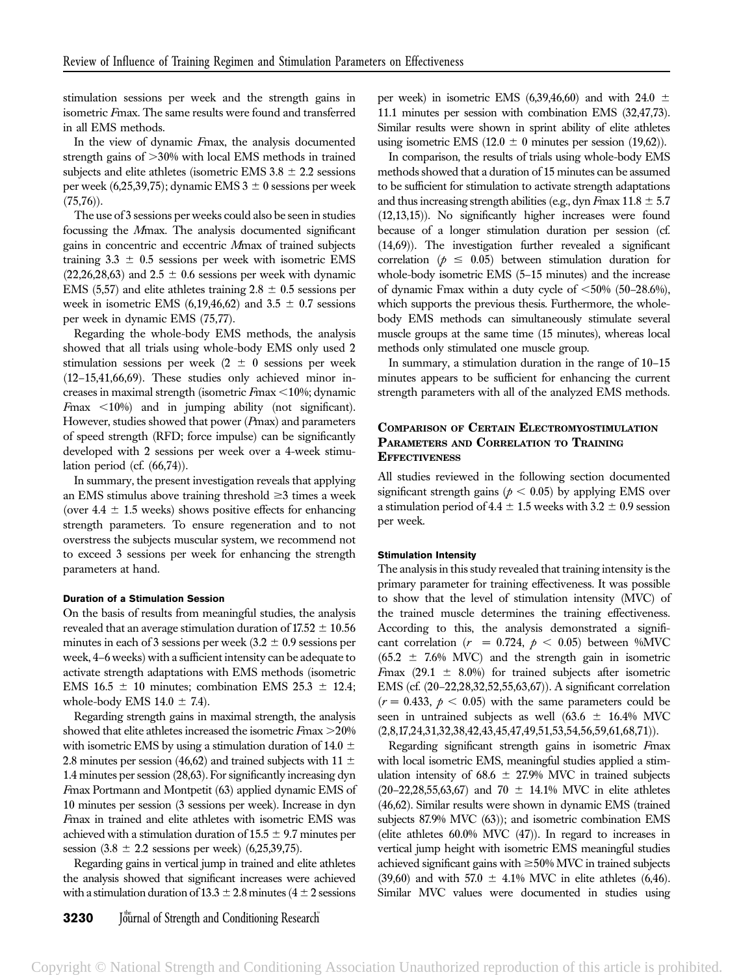stimulation sessions per week and the strength gains in isometric Fmax. The same results were found and transferred in all EMS methods.

In the view of dynamic Fmax, the analysis documented strength gains of  $>30\%$  with local EMS methods in trained subjects and elite athletes (isometric EMS  $3.8 \pm 2.2$  sessions per week (6,25,39,75); dynamic EMS  $3 \pm 0$  sessions per week  $(75,76)$ ).

The use of 3 sessions per weeks could also be seen in studies focussing the Mmax. The analysis documented significant gains in concentric and eccentric Mmax of trained subjects training  $3.3 \pm 0.5$  sessions per week with isometric EMS  $(22,26,28,63)$  and  $2.5 \pm 0.6$  sessions per week with dynamic EMS (5,57) and elite athletes training  $2.8 \pm 0.5$  sessions per week in isometric EMS (6,19,46,62) and  $3.5 \pm 0.7$  sessions per week in dynamic EMS (75,77).

Regarding the whole-body EMS methods, the analysis showed that all trials using whole-body EMS only used 2 stimulation sessions per week (2  $\pm$  0 sessions per week (12–15,41,66,69). These studies only achieved minor increases in maximal strength (isometric  $F_{\text{max}} < 10\%$ ; dynamic  $F$ max  $\lt 10\%$  and in jumping ability (not significant). However, studies showed that power (Pmax) and parameters of speed strength (RFD; force impulse) can be significantly developed with 2 sessions per week over a 4-week stimulation period (cf. (66,74)).

In summary, the present investigation reveals that applying an EMS stimulus above training threshold  $\geq$ 3 times a week (over  $4.4 \pm 1.5$  weeks) shows positive effects for enhancing strength parameters. To ensure regeneration and to not overstress the subjects muscular system, we recommend not to exceed 3 sessions per week for enhancing the strength parameters at hand.

# Duration of a Stimulation Session

On the basis of results from meaningful studies, the analysis revealed that an average stimulation duration of  $17.52 \pm 10.56$ minutes in each of 3 sessions per week  $(3.2 \pm 0.9)$  sessions per week, 4–6 weeks) with a sufficient intensity can be adequate to activate strength adaptations with EMS methods (isometric EMS 16.5  $\pm$  10 minutes; combination EMS 25.3  $\pm$  12.4; whole-body EMS  $14.0 \pm 7.4$ .

Regarding strength gains in maximal strength, the analysis showed that elite athletes increased the isometric  $F_{\text{max}} > 20\%$ with isometric EMS by using a stimulation duration of 14.0  $\pm$ 2.8 minutes per session (46,62) and trained subjects with 11  $\pm$ 1.4 minutes per session (28,63). For significantly increasing dyn Fmax Portmann and Montpetit (63) applied dynamic EMS of 10 minutes per session (3 sessions per week). Increase in dyn Fmax in trained and elite athletes with isometric EMS was achieved with a stimulation duration of  $15.5 \pm 9.7$  minutes per session  $(3.8 \pm 2.2)$  sessions per week)  $(6,25,39,75)$ .

Regarding gains in vertical jump in trained and elite athletes the analysis showed that significant increases were achieved with a stimulation duration of  $13.3 \pm 2.8$  minutes (4  $\pm$  2 sessions

**3230** Journal of Strength and Conditioning Research

per week) in isometric EMS (6,39,46,60) and with 24.0  $\pm$ 11.1 minutes per session with combination EMS (32,47,73). Similar results were shown in sprint ability of elite athletes using isometric EMS (12.0  $\pm$  0 minutes per session (19,62)).

In comparison, the results of trials using whole-body EMS methods showed that a duration of 15 minutes can be assumed to be sufficient for stimulation to activate strength adaptations and thus increasing strength abilities (e.g., dyn  $F_{\text{max}} 11.8 \pm 5.7$ (12,13,15)). No significantly higher increases were found because of a longer stimulation duration per session (cf. (14,69)). The investigation further revealed a significant correlation ( $p \leq 0.05$ ) between stimulation duration for whole-body isometric EMS (5–15 minutes) and the increase of dynamic Fmax within a duty cycle of  $<50\%$  (50–28.6%), which supports the previous thesis. Furthermore, the wholebody EMS methods can simultaneously stimulate several muscle groups at the same time (15 minutes), whereas local methods only stimulated one muscle group.

In summary, a stimulation duration in the range of 10–15 minutes appears to be sufficient for enhancing the current strength parameters with all of the analyzed EMS methods.

# COMPARISON OF CERTAIN ELECTROMYOSTIMULATION PARAMETERS AND CORRELATION TO TRAINING **EFFECTIVENESS**

All studies reviewed in the following section documented significant strength gains ( $p < 0.05$ ) by applying EMS over a stimulation period of 4.4  $\pm$  1.5 weeks with 3.2  $\pm$  0.9 session per week.

#### Stimulation Intensity

The analysis in this study revealed that training intensity is the primary parameter for training effectiveness. It was possible to show that the level of stimulation intensity (MVC) of the trained muscle determines the training effectiveness. According to this, the analysis demonstrated a significant correlation ( $r = 0.724$ ,  $p < 0.05$ ) between %MVC  $(65.2 \pm 7.6\% \text{ MVC})$  and the strength gain in isometric Fmax (29.1  $\pm$  8.0%) for trained subjects after isometric EMS (cf. (20–22,28,32,52,55,63,67)). A significant correlation  $(r = 0.433, \, p < 0.05)$  with the same parameters could be seen in untrained subjects as well (63.6  $\pm$  16.4% MVC (2,8,17,24,31,32,38,42,43,45,47,49,51,53,54,56,59,61,68,71)).

Regarding significant strength gains in isometric Fmax with local isometric EMS, meaningful studies applied a stimulation intensity of 68.6  $\pm$  27.9% MVC in trained subjects (20–22,28,55,63,67) and 70  $\pm$  14.1% MVC in elite athletes (46,62). Similar results were shown in dynamic EMS (trained subjects 87.9% MVC (63)); and isometric combination EMS (elite athletes 60.0% MVC (47)). In regard to increases in vertical jump height with isometric EMS meaningful studies achieved significant gains with  $\geq$ 50% MVC in trained subjects (39,60) and with 57.0  $\pm$  4.1% MVC in elite athletes (6,46). Similar MVC values were documented in studies using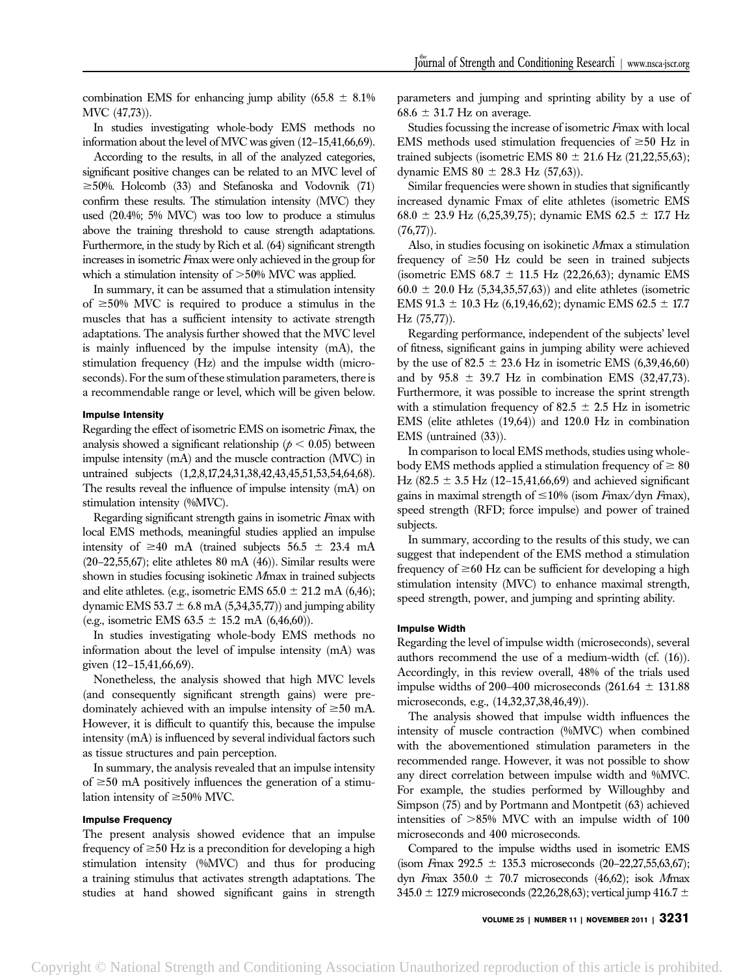combination EMS for enhancing jump ability  $(65.8 \pm 8.1\%)$ MVC (47,73)).

In studies investigating whole-body EMS methods no information about the level of MVC was given (12–15,41,66,69).

According to the results, in all of the analyzed categories, significant positive changes can be related to an MVC level of  $\geq$ 50%. Holcomb (33) and Stefanoska and Vodovnik (71) confirm these results. The stimulation intensity (MVC) they used (20.4%; 5% MVC) was too low to produce a stimulus above the training threshold to cause strength adaptations. Furthermore, in the study by Rich et al. (64) significant strength increases in isometric Fmax were only achieved in the group for which a stimulation intensity of  $>50\%$  MVC was applied.

In summary, it can be assumed that a stimulation intensity of  $\geq$ 50% MVC is required to produce a stimulus in the muscles that has a sufficient intensity to activate strength adaptations. The analysis further showed that the MVC level is mainly influenced by the impulse intensity (mA), the stimulation frequency (Hz) and the impulse width (microseconds). For the sum of these stimulation parameters, there is a recommendable range or level, which will be given below.

#### Impulse Intensity

Regarding the effect of isometric EMS on isometric Fmax, the analysis showed a significant relationship ( $p < 0.05$ ) between impulse intensity (mA) and the muscle contraction (MVC) in untrained subjects (1,2,8,17,24,31,38,42,43,45,51,53,54,64,68). The results reveal the influence of impulse intensity (mA) on stimulation intensity (%MVC).

Regarding significant strength gains in isometric Fmax with local EMS methods, meaningful studies applied an impulse intensity of  $\geq 40$  mA (trained subjects 56.5  $\pm$  23.4 mA  $(20-22,55,67)$ ; elite athletes 80 mA  $(46)$ ). Similar results were shown in studies focusing isokinetic Mmax in trained subjects and elite athletes. (e.g., isometric EMS  $65.0 \pm 21.2$  mA (6,46); dynamic EMS  $53.7 \pm 6.8 \text{ mA}$  (5,34,35,77)) and jumping ability (e.g., isometric EMS  $63.5 \pm 15.2$  mA  $(6,46,60)$ ).

In studies investigating whole-body EMS methods no information about the level of impulse intensity (mA) was given (12–15,41,66,69).

Nonetheless, the analysis showed that high MVC levels (and consequently significant strength gains) were predominately achieved with an impulse intensity of  $\geq 50$  mA. However, it is difficult to quantify this, because the impulse intensity (mA) is influenced by several individual factors such as tissue structures and pain perception.

In summary, the analysis revealed that an impulse intensity of  $\geq 50$  mA positively influences the generation of a stimulation intensity of  $\geq 50\%$  MVC.

#### Impulse Frequency

The present analysis showed evidence that an impulse frequency of  $\geq 50$  Hz is a precondition for developing a high stimulation intensity (%MVC) and thus for producing a training stimulus that activates strength adaptations. The studies at hand showed significant gains in strength

parameters and jumping and sprinting ability by a use of  $68.6 \pm 31.7$  Hz on average.

Studies focussing the increase of isometric Fmax with local EMS methods used stimulation frequencies of  $\geq 50$  Hz in trained subjects (isometric EMS  $80 \pm 21.6$  Hz (21,22,55,63); dynamic EMS  $80 \pm 28.3$  Hz (57,63)).

Similar frequencies were shown in studies that significantly increased dynamic Fmax of elite athletes (isometric EMS 68.0  $\pm$  23.9 Hz (6,25,39,75); dynamic EMS 62.5  $\pm$  17.7 Hz  $(76,77)$ ).

Also, in studies focusing on isokinetic Mmax a stimulation frequency of  $\geq 50$  Hz could be seen in trained subjects (isometric EMS  $68.7 \pm 11.5$  Hz (22,26,63); dynamic EMS  $60.0 \pm 20.0$  Hz (5,34,35,57,63)) and elite athletes (isometric EMS 91.3  $\pm$  10.3 Hz (6,19,46,62); dynamic EMS 62.5  $\pm$  17.7 Hz (75,77)).

Regarding performance, independent of the subjects' level of fitness, significant gains in jumping ability were achieved by the use of 82.5  $\pm$  23.6 Hz in isometric EMS (6,39,46,60) and by  $95.8 \pm 39.7$  Hz in combination EMS (32,47,73). Furthermore, it was possible to increase the sprint strength with a stimulation frequency of 82.5  $\pm$  2.5 Hz in isometric EMS (elite athletes (19,64)) and 120.0 Hz in combination EMS (untrained (33)).

In comparison to local EMS methods, studies using wholebody EMS methods applied a stimulation frequency of  $\geq 80$ Hz (82.5  $\pm$  3.5 Hz (12–15,41,66,69) and achieved significant gains in maximal strength of  $\leq 10\%$  (isom Fmax/dyn Fmax), speed strength (RFD; force impulse) and power of trained subjects.

In summary, according to the results of this study, we can suggest that independent of the EMS method a stimulation frequency of  $\geq 60$  Hz can be sufficient for developing a high stimulation intensity (MVC) to enhance maximal strength, speed strength, power, and jumping and sprinting ability.

#### Impulse Width

Regarding the level of impulse width (microseconds), several authors recommend the use of a medium-width (cf. (16)). Accordingly, in this review overall, 48% of the trials used impulse widths of 200–400 microseconds  $(261.64 \pm 131.88$ microseconds, e.g., (14,32,37,38,46,49)).

The analysis showed that impulse width influences the intensity of muscle contraction (%MVC) when combined with the abovementioned stimulation parameters in the recommended range. However, it was not possible to show any direct correlation between impulse width and %MVC. For example, the studies performed by Willoughby and Simpson (75) and by Portmann and Montpetit (63) achieved intensities of  $>85\%$  MVC with an impulse width of 100 microseconds and 400 microseconds.

Compared to the impulse widths used in isometric EMS (isom Fmax 292.5  $\pm$  135.3 microseconds (20–22,27,55,63,67); dyn Fmax  $350.0 \pm 70.7$  microseconds (46,62); isok Mmax 345.0  $\pm$  127.9 microseconds (22,26,28,63); vertical jump 416.7  $\pm$ 

VOLUME 25 | NUMBER 11 | NOVEMBER 2011 | 3231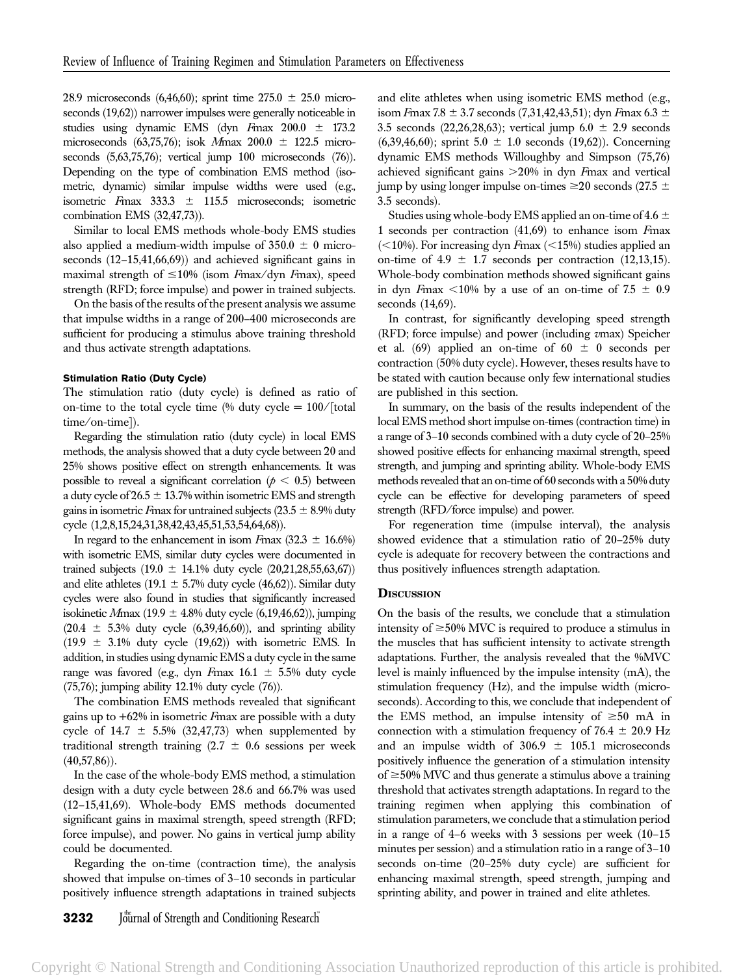28.9 microseconds (6,46,60); sprint time  $275.0 \pm 25.0$  microseconds (19,62)) narrower impulses were generally noticeable in studies using dynamic EMS (dyn  $F$ max 200.0  $\pm$  173.2 microseconds (63,75,76); isok Mmax  $200.0 \pm 122.5$  microseconds (5,63,75,76); vertical jump 100 microseconds (76)). Depending on the type of combination EMS method (isometric, dynamic) similar impulse widths were used (e.g., isometric  $F$ max 333.3  $\pm$  115.5 microseconds; isometric combination EMS (32,47,73)).

Similar to local EMS methods whole-body EMS studies also applied a medium-width impulse of  $350.0 \pm 0$  microseconds (12–15,41,66,69)) and achieved significant gains in maximal strength of  $\leq 10\%$  (isom Fmax/dyn Fmax), speed strength (RFD; force impulse) and power in trained subjects.

On the basis of the results of the present analysis we assume that impulse widths in a range of 200–400 microseconds are sufficient for producing a stimulus above training threshold and thus activate strength adaptations.

# Stimulation Ratio (Duty Cycle)

The stimulation ratio (duty cycle) is defined as ratio of on-time to the total cycle time (% duty cycle  $= 100/$ [total time/on-time]).

Regarding the stimulation ratio (duty cycle) in local EMS methods, the analysis showed that a duty cycle between 20 and 25% shows positive effect on strength enhancements. It was possible to reveal a significant correlation ( $p < 0.5$ ) between a duty cycle of  $26.5 \pm 13.7\%$  within isometric EMS and strength gains in isometric Fmax for untrained subjects  $(23.5 \pm 8.9\%)$  duty cycle (1,2,8,15,24,31,38,42,43,45,51,53,54,64,68)).

In regard to the enhancement in isom Fmax  $(32.3 \pm 16.6\%)$ with isometric EMS, similar duty cycles were documented in trained subjects (19.0  $\pm$  14.1% duty cycle (20,21,28,55,63,67)) and elite athletes (19.1  $\pm$  5.7% duty cycle (46,62)). Similar duty cycles were also found in studies that significantly increased isokinetic Mmax (19.9  $\pm$  4.8% duty cycle (6,19,46,62)), jumping  $(20.4 \pm 5.3\%$  duty cycle  $(6,39,46,60)$ ), and sprinting ability  $(19.9 \pm 3.1\%$  duty cycle  $(19.62)$ ) with isometric EMS. In addition, in studies using dynamic EMS a duty cycle in the same range was favored (e.g., dyn Fmax  $16.1 \pm 5.5\%$  duty cycle (75,76); jumping ability 12.1% duty cycle (76)).

The combination EMS methods revealed that significant gains up to +62% in isometric Fmax are possible with a duty cycle of  $14.7 \pm 5.5\%$  (32,47,73) when supplemented by traditional strength training (2.7  $\pm$  0.6 sessions per week  $(40,57,86)$ ).

In the case of the whole-body EMS method, a stimulation design with a duty cycle between 28.6 and 66.7% was used (12–15,41,69). Whole-body EMS methods documented significant gains in maximal strength, speed strength (RFD; force impulse), and power. No gains in vertical jump ability could be documented.

Regarding the on-time (contraction time), the analysis showed that impulse on-times of 3–10 seconds in particular positively influence strength adaptations in trained subjects and elite athletes when using isometric EMS method (e.g., isom Fmax 7.8  $\pm$  3.7 seconds (7,31,42,43,51); dyn Fmax 6.3  $\pm$ 3.5 seconds (22,26,28,63); vertical jump 6.0  $\pm$  2.9 seconds  $(6,39,46,60)$ ; sprint  $5.0 \pm 1.0$  seconds  $(19,62)$ ). Concerning dynamic EMS methods Willoughby and Simpson (75,76) achieved significant gains  $>20\%$  in dyn Fmax and vertical jump by using longer impulse on-times  $\geq 20$  seconds (27.5  $\pm$ 3.5 seconds).

Studies using whole-body EMS applied an on-time of 4.6  $\pm$ 1 seconds per contraction (41,69) to enhance isom Fmax  $\left($  < 10%). For increasing dyn Fmax ( $\leq$  15%) studies applied an on-time of 4.9  $\pm$  1.7 seconds per contraction (12,13,15). Whole-body combination methods showed significant gains in dyn Fmax <10% by a use of an on-time of 7.5  $\pm$  0.9 seconds (14,69).

In contrast, for significantly developing speed strength (RFD; force impulse) and power (including vmax) Speicher et al. (69) applied an on-time of 60  $\pm$  0 seconds per contraction (50% duty cycle). However, theses results have to be stated with caution because only few international studies are published in this section.

In summary, on the basis of the results independent of the local EMS method short impulse on-times (contraction time) in a range of 3–10 seconds combined with a duty cycle of 20–25% showed positive effects for enhancing maximal strength, speed strength, and jumping and sprinting ability. Whole-body EMS methods revealed that an on-time of 60 seconds with a 50% duty cycle can be effective for developing parameters of speed strength (RFD/force impulse) and power.

For regeneration time (impulse interval), the analysis showed evidence that a stimulation ratio of 20–25% duty cycle is adequate for recovery between the contractions and thus positively influences strength adaptation.

## **DISCUSSION**

On the basis of the results, we conclude that a stimulation intensity of  $\geq$ 50% MVC is required to produce a stimulus in the muscles that has sufficient intensity to activate strength adaptations. Further, the analysis revealed that the %MVC level is mainly influenced by the impulse intensity (mA), the stimulation frequency (Hz), and the impulse width (microseconds). According to this, we conclude that independent of the EMS method, an impulse intensity of  $\geq 50$  mA in connection with a stimulation frequency of  $76.4 \pm 20.9$  Hz and an impulse width of  $306.9 \pm 105.1$  microseconds positively influence the generation of a stimulation intensity of  $\geq$ 50% MVC and thus generate a stimulus above a training threshold that activates strength adaptations. In regard to the training regimen when applying this combination of stimulation parameters, we conclude that a stimulation period in a range of 4–6 weeks with 3 sessions per week (10–15 minutes per session) and a stimulation ratio in a range of 3–10 seconds on-time (20–25% duty cycle) are sufficient for enhancing maximal strength, speed strength, jumping and sprinting ability, and power in trained and elite athletes.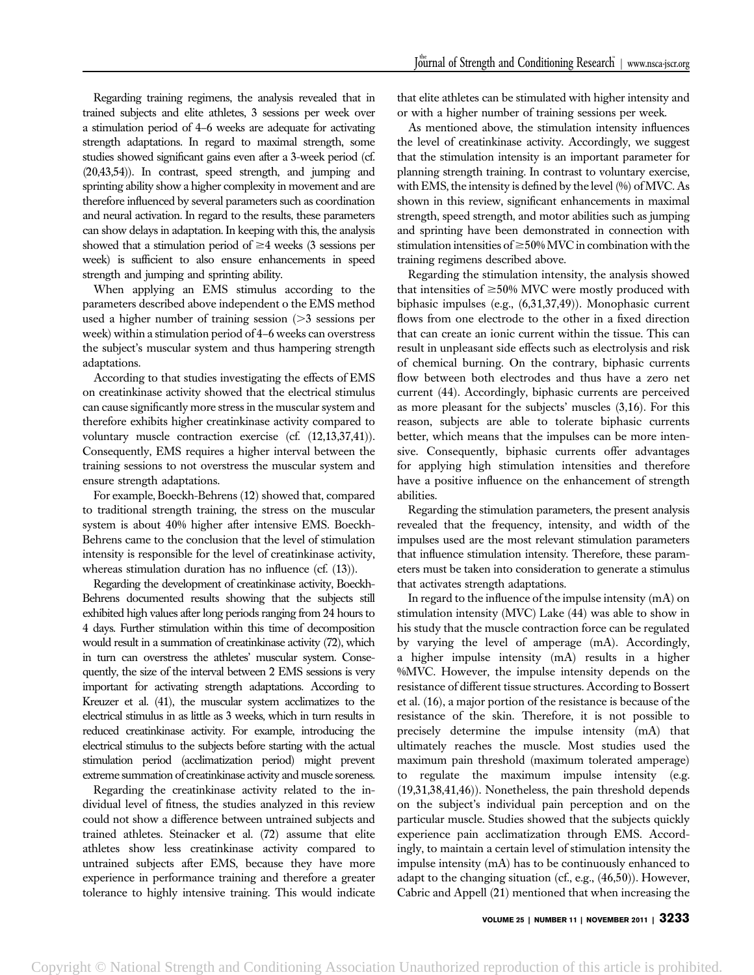Regarding training regimens, the analysis revealed that in trained subjects and elite athletes, 3 sessions per week over a stimulation period of 4–6 weeks are adequate for activating strength adaptations. In regard to maximal strength, some studies showed significant gains even after a 3-week period (cf. (20,43,54)). In contrast, speed strength, and jumping and sprinting ability show a higher complexity in movement and are therefore influenced by several parameters such as coordination and neural activation. In regard to the results, these parameters can show delays in adaptation. In keeping with this, the analysis showed that a stimulation period of  $\geq 4$  weeks (3 sessions per week) is sufficient to also ensure enhancements in speed strength and jumping and sprinting ability.

When applying an EMS stimulus according to the parameters described above independent o the EMS method used a higher number of training session  $(>= 3$  sessions per week) within a stimulation period of 4–6 weeks can overstress the subject's muscular system and thus hampering strength adaptations.

According to that studies investigating the effects of EMS on creatinkinase activity showed that the electrical stimulus can cause significantly more stress in the muscular system and therefore exhibits higher creatinkinase activity compared to voluntary muscle contraction exercise (cf. (12,13,37,41)). Consequently, EMS requires a higher interval between the training sessions to not overstress the muscular system and ensure strength adaptations.

For example, Boeckh-Behrens (12) showed that, compared to traditional strength training, the stress on the muscular system is about 40% higher after intensive EMS. Boeckh-Behrens came to the conclusion that the level of stimulation intensity is responsible for the level of creatinkinase activity, whereas stimulation duration has no influence (cf. (13)).

Regarding the development of creatinkinase activity, Boeckh-Behrens documented results showing that the subjects still exhibited high values after long periods ranging from 24 hours to 4 days. Further stimulation within this time of decomposition would result in a summation of creatinkinase activity (72), which in turn can overstress the athletes' muscular system. Consequently, the size of the interval between 2 EMS sessions is very important for activating strength adaptations. According to Kreuzer et al. (41), the muscular system acclimatizes to the electrical stimulus in as little as 3 weeks, which in turn results in reduced creatinkinase activity. For example, introducing the electrical stimulus to the subjects before starting with the actual stimulation period (acclimatization period) might prevent extreme summation of creatinkinase activity and muscle soreness.

Regarding the creatinkinase activity related to the individual level of fitness, the studies analyzed in this review could not show a difference between untrained subjects and trained athletes. Steinacker et al. (72) assume that elite athletes show less creatinkinase activity compared to untrained subjects after EMS, because they have more experience in performance training and therefore a greater tolerance to highly intensive training. This would indicate that elite athletes can be stimulated with higher intensity and or with a higher number of training sessions per week.

As mentioned above, the stimulation intensity influences the level of creatinkinase activity. Accordingly, we suggest that the stimulation intensity is an important parameter for planning strength training. In contrast to voluntary exercise, with EMS, the intensity is defined by the level (%) of MVC. As shown in this review, significant enhancements in maximal strength, speed strength, and motor abilities such as jumping and sprinting have been demonstrated in connection with stimulation intensities of  $\geq$  50% MVC in combination with the training regimens described above.

Regarding the stimulation intensity, the analysis showed that intensities of  $\geq$ 50% MVC were mostly produced with biphasic impulses (e.g., (6,31,37,49)). Monophasic current flows from one electrode to the other in a fixed direction that can create an ionic current within the tissue. This can result in unpleasant side effects such as electrolysis and risk of chemical burning. On the contrary, biphasic currents flow between both electrodes and thus have a zero net current (44). Accordingly, biphasic currents are perceived as more pleasant for the subjects' muscles (3,16). For this reason, subjects are able to tolerate biphasic currents better, which means that the impulses can be more intensive. Consequently, biphasic currents offer advantages for applying high stimulation intensities and therefore have a positive influence on the enhancement of strength abilities.

Regarding the stimulation parameters, the present analysis revealed that the frequency, intensity, and width of the impulses used are the most relevant stimulation parameters that influence stimulation intensity. Therefore, these parameters must be taken into consideration to generate a stimulus that activates strength adaptations.

In regard to the influence of the impulse intensity (mA) on stimulation intensity (MVC) Lake (44) was able to show in his study that the muscle contraction force can be regulated by varying the level of amperage (mA). Accordingly, a higher impulse intensity (mA) results in a higher %MVC. However, the impulse intensity depends on the resistance of different tissue structures. According to Bossert et al. (16), a major portion of the resistance is because of the resistance of the skin. Therefore, it is not possible to precisely determine the impulse intensity (mA) that ultimately reaches the muscle. Most studies used the maximum pain threshold (maximum tolerated amperage) to regulate the maximum impulse intensity (e.g. (19,31,38,41,46)). Nonetheless, the pain threshold depends on the subject's individual pain perception and on the particular muscle. Studies showed that the subjects quickly experience pain acclimatization through EMS. Accordingly, to maintain a certain level of stimulation intensity the impulse intensity (mA) has to be continuously enhanced to adapt to the changing situation (cf., e.g., (46,50)). However, Cabric and Appell (21) mentioned that when increasing the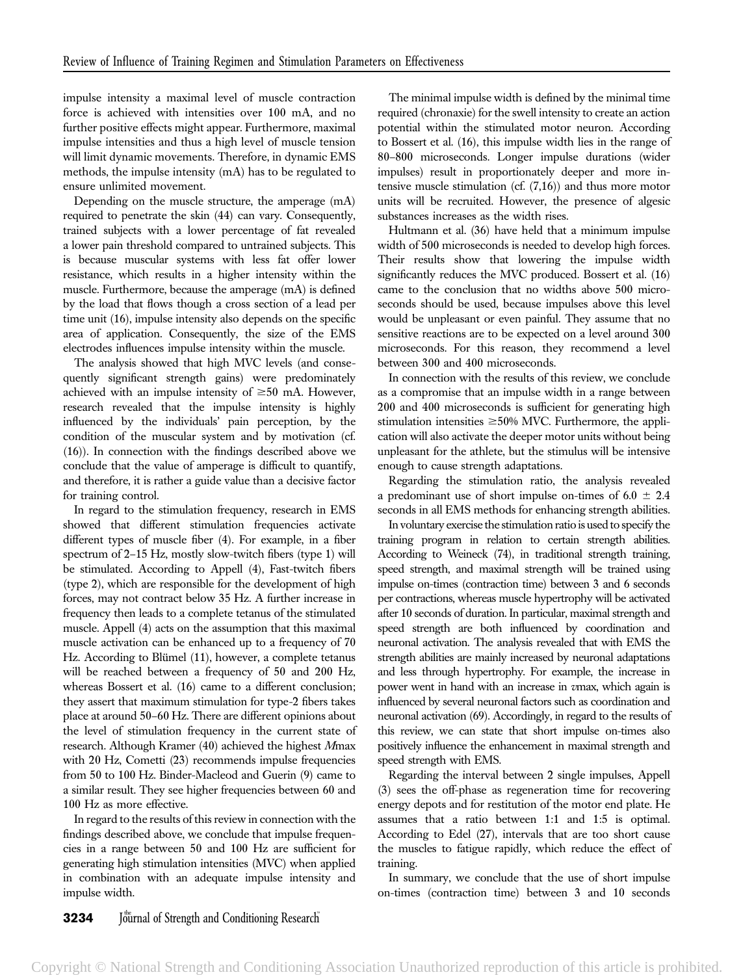impulse intensity a maximal level of muscle contraction force is achieved with intensities over 100 mA, and no further positive effects might appear. Furthermore, maximal impulse intensities and thus a high level of muscle tension will limit dynamic movements. Therefore, in dynamic EMS methods, the impulse intensity (mA) has to be regulated to ensure unlimited movement.

Depending on the muscle structure, the amperage (mA) required to penetrate the skin (44) can vary. Consequently, trained subjects with a lower percentage of fat revealed a lower pain threshold compared to untrained subjects. This is because muscular systems with less fat offer lower resistance, which results in a higher intensity within the muscle. Furthermore, because the amperage (mA) is defined by the load that flows though a cross section of a lead per time unit (16), impulse intensity also depends on the specific area of application. Consequently, the size of the EMS electrodes influences impulse intensity within the muscle.

The analysis showed that high MVC levels (and consequently significant strength gains) were predominately achieved with an impulse intensity of  $\geq 50$  mA. However, research revealed that the impulse intensity is highly influenced by the individuals' pain perception, by the condition of the muscular system and by motivation (cf. (16)). In connection with the findings described above we conclude that the value of amperage is difficult to quantify, and therefore, it is rather a guide value than a decisive factor for training control.

In regard to the stimulation frequency, research in EMS showed that different stimulation frequencies activate different types of muscle fiber (4). For example, in a fiber spectrum of 2–15 Hz, mostly slow-twitch fibers (type 1) will be stimulated. According to Appell (4), Fast-twitch fibers (type 2), which are responsible for the development of high forces, may not contract below 35 Hz. A further increase in frequency then leads to a complete tetanus of the stimulated muscle. Appell (4) acts on the assumption that this maximal muscle activation can be enhanced up to a frequency of 70 Hz. According to Blümel (11), however, a complete tetanus will be reached between a frequency of 50 and 200 Hz, whereas Bossert et al. (16) came to a different conclusion; they assert that maximum stimulation for type-2 fibers takes place at around 50–60 Hz. There are different opinions about the level of stimulation frequency in the current state of research. Although Kramer (40) achieved the highest Mmax with 20 Hz, Cometti (23) recommends impulse frequencies from 50 to 100 Hz. Binder-Macleod and Guerin (9) came to a similar result. They see higher frequencies between 60 and 100 Hz as more effective.

In regard to the results of this review in connection with the findings described above, we conclude that impulse frequencies in a range between 50 and 100 Hz are sufficient for generating high stimulation intensities (MVC) when applied in combination with an adequate impulse intensity and impulse width.

The minimal impulse width is defined by the minimal time required (chronaxie) for the swell intensity to create an action potential within the stimulated motor neuron. According to Bossert et al. (16), this impulse width lies in the range of 80–800 microseconds. Longer impulse durations (wider impulses) result in proportionately deeper and more intensive muscle stimulation (cf. (7,16)) and thus more motor units will be recruited. However, the presence of algesic substances increases as the width rises.

Hultmann et al. (36) have held that a minimum impulse width of 500 microseconds is needed to develop high forces. Their results show that lowering the impulse width significantly reduces the MVC produced. Bossert et al. (16) came to the conclusion that no widths above 500 microseconds should be used, because impulses above this level would be unpleasant or even painful. They assume that no sensitive reactions are to be expected on a level around 300 microseconds. For this reason, they recommend a level between 300 and 400 microseconds.

In connection with the results of this review, we conclude as a compromise that an impulse width in a range between 200 and 400 microseconds is sufficient for generating high stimulation intensities  $\geq$ 50% MVC. Furthermore, the application will also activate the deeper motor units without being unpleasant for the athlete, but the stimulus will be intensive enough to cause strength adaptations.

Regarding the stimulation ratio, the analysis revealed a predominant use of short impulse on-times of 6.0  $\pm$  2.4 seconds in all EMS methods for enhancing strength abilities.

In voluntary exercise the stimulation ratio is used to specify the training program in relation to certain strength abilities. According to Weineck (74), in traditional strength training, speed strength, and maximal strength will be trained using impulse on-times (contraction time) between 3 and 6 seconds per contractions, whereas muscle hypertrophy will be activated after 10 seconds of duration. In particular, maximal strength and speed strength are both influenced by coordination and neuronal activation. The analysis revealed that with EMS the strength abilities are mainly increased by neuronal adaptations and less through hypertrophy. For example, the increase in power went in hand with an increase in vmax, which again is influenced by several neuronal factors such as coordination and neuronal activation (69). Accordingly, in regard to the results of this review, we can state that short impulse on-times also positively influence the enhancement in maximal strength and speed strength with EMS.

Regarding the interval between 2 single impulses, Appell (3) sees the off-phase as regeneration time for recovering energy depots and for restitution of the motor end plate. He assumes that a ratio between 1:1 and 1:5 is optimal. According to Edel (27), intervals that are too short cause the muscles to fatigue rapidly, which reduce the effect of training.

In summary, we conclude that the use of short impulse on-times (contraction time) between 3 and 10 seconds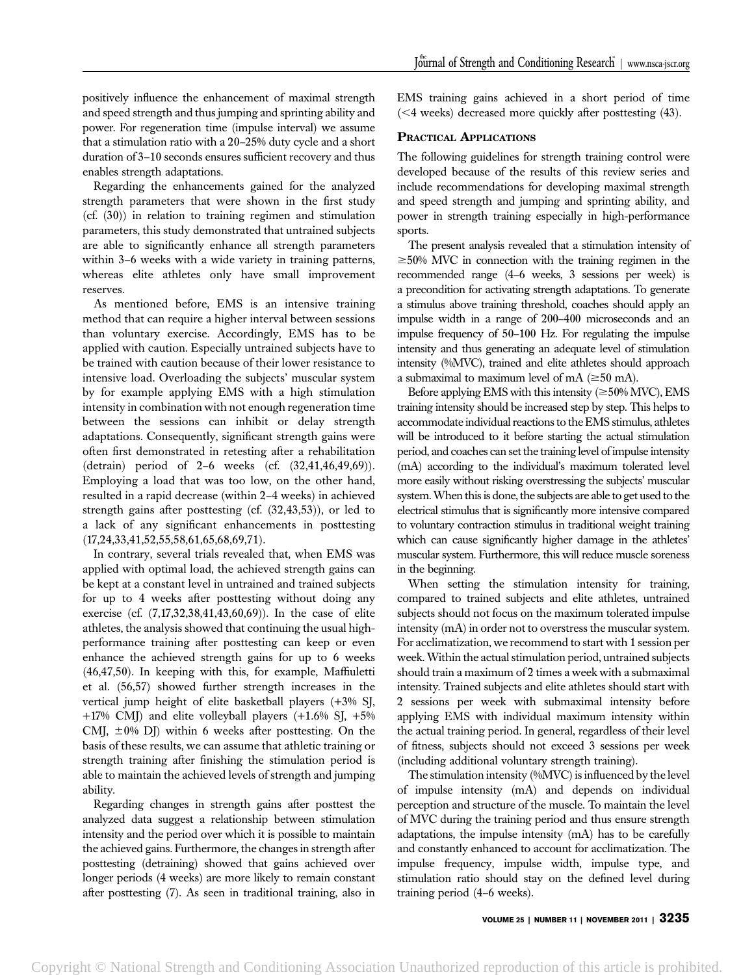positively influence the enhancement of maximal strength and speed strength and thus jumping and sprinting ability and power. For regeneration time (impulse interval) we assume that a stimulation ratio with a 20–25% duty cycle and a short duration of 3–10 seconds ensures sufficient recovery and thus enables strength adaptations.

Regarding the enhancements gained for the analyzed strength parameters that were shown in the first study (cf. (30)) in relation to training regimen and stimulation parameters, this study demonstrated that untrained subjects are able to significantly enhance all strength parameters within 3–6 weeks with a wide variety in training patterns, whereas elite athletes only have small improvement reserves.

As mentioned before, EMS is an intensive training method that can require a higher interval between sessions than voluntary exercise. Accordingly, EMS has to be applied with caution. Especially untrained subjects have to be trained with caution because of their lower resistance to intensive load. Overloading the subjects' muscular system by for example applying EMS with a high stimulation intensity in combination with not enough regeneration time between the sessions can inhibit or delay strength adaptations. Consequently, significant strength gains were often first demonstrated in retesting after a rehabilitation (detrain) period of 2–6 weeks (cf. (32,41,46,49,69)). Employing a load that was too low, on the other hand, resulted in a rapid decrease (within 2–4 weeks) in achieved strength gains after posttesting (cf. (32,43,53)), or led to a lack of any significant enhancements in posttesting (17,24,33,41,52,55,58,61,65,68,69,71).

In contrary, several trials revealed that, when EMS was applied with optimal load, the achieved strength gains can be kept at a constant level in untrained and trained subjects for up to 4 weeks after posttesting without doing any exercise (cf. (7,17,32,38,41,43,60,69)). In the case of elite athletes, the analysis showed that continuing the usual highperformance training after posttesting can keep or even enhance the achieved strength gains for up to 6 weeks (46,47,50). In keeping with this, for example, Maffiuletti et al. (56,57) showed further strength increases in the vertical jump height of elite basketball players (+3% SJ, +17% CMJ) and elite volleyball players (+1.6% SJ, +5% CMJ,  $\pm 0\%$  DJ) within 6 weeks after posttesting. On the basis of these results, we can assume that athletic training or strength training after finishing the stimulation period is able to maintain the achieved levels of strength and jumping ability.

Regarding changes in strength gains after posttest the analyzed data suggest a relationship between stimulation intensity and the period over which it is possible to maintain the achieved gains. Furthermore, the changes in strength after posttesting (detraining) showed that gains achieved over longer periods (4 weeks) are more likely to remain constant after posttesting (7). As seen in traditional training, also in

EMS training gains achieved in a short period of time  $(<$ 4 weeks) decreased more quickly after posttesting  $(43)$ .

# PRACTICAL APPLICATIONS

The following guidelines for strength training control were developed because of the results of this review series and include recommendations for developing maximal strength and speed strength and jumping and sprinting ability, and power in strength training especially in high-performance sports.

The present analysis revealed that a stimulation intensity of  $\geq$ 50% MVC in connection with the training regimen in the recommended range (4–6 weeks, 3 sessions per week) is a precondition for activating strength adaptations. To generate a stimulus above training threshold, coaches should apply an impulse width in a range of 200–400 microseconds and an impulse frequency of 50–100 Hz. For regulating the impulse intensity and thus generating an adequate level of stimulation intensity (%MVC), trained and elite athletes should approach a submaximal to maximum level of mA  $(\geq 50 \text{ mA})$ .

Before applying EMS with this intensity  $(\geq 50\% \text{ MVC})$ , EMS training intensity should be increased step by step. This helps to accommodate individual reactions to the EMS stimulus, athletes will be introduced to it before starting the actual stimulation period, and coaches can set the training level of impulse intensity (mA) according to the individual's maximum tolerated level more easily without risking overstressing the subjects' muscular system.When this is done, the subjects are able to get used to the electrical stimulus that is significantly more intensive compared to voluntary contraction stimulus in traditional weight training which can cause significantly higher damage in the athletes' muscular system. Furthermore, this will reduce muscle soreness in the beginning.

When setting the stimulation intensity for training, compared to trained subjects and elite athletes, untrained subjects should not focus on the maximum tolerated impulse intensity (mA) in order not to overstress the muscular system. For acclimatization, we recommend to start with 1 session per week. Within the actual stimulation period, untrained subjects should train a maximum of 2 times a week with a submaximal intensity. Trained subjects and elite athletes should start with 2 sessions per week with submaximal intensity before applying EMS with individual maximum intensity within the actual training period. In general, regardless of their level of fitness, subjects should not exceed 3 sessions per week (including additional voluntary strength training).

The stimulation intensity (%MVC) is influenced by the level of impulse intensity (mA) and depends on individual perception and structure of the muscle. To maintain the level of MVC during the training period and thus ensure strength adaptations, the impulse intensity (mA) has to be carefully and constantly enhanced to account for acclimatization. The impulse frequency, impulse width, impulse type, and stimulation ratio should stay on the defined level during training period (4–6 weeks).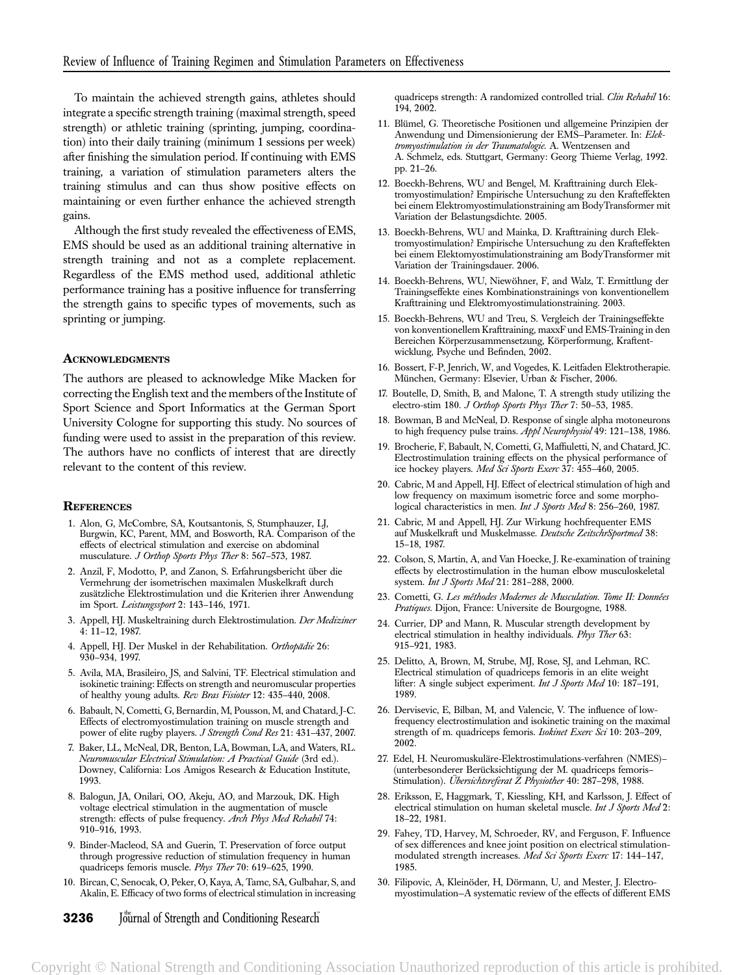To maintain the achieved strength gains, athletes should integrate a specific strength training (maximal strength, speed strength) or athletic training (sprinting, jumping, coordination) into their daily training (minimum 1 sessions per week) after finishing the simulation period. If continuing with EMS training, a variation of stimulation parameters alters the training stimulus and can thus show positive effects on maintaining or even further enhance the achieved strength gains.

Although the first study revealed the effectiveness of EMS, EMS should be used as an additional training alternative in strength training and not as a complete replacement. Regardless of the EMS method used, additional athletic performance training has a positive influence for transferring the strength gains to specific types of movements, such as sprinting or jumping.

## **ACKNOWLEDGMENTS**

The authors are pleased to acknowledge Mike Macken for correcting the English text and the members of the Institute of Sport Science and Sport Informatics at the German Sport University Cologne for supporting this study. No sources of funding were used to assist in the preparation of this review. The authors have no conflicts of interest that are directly relevant to the content of this review.

## **REFERENCES**

- 1. Alon, G, McCombre, SA, Koutsantonis, S, Stumphauzer, LJ, Burgwin, KC, Parent, MM, and Bosworth, RA. Comparison of the effects of electrical stimulation and exercise on abdominal musculature. J Orthop Sports Phys Ther 8: 567–573, 1987.
- 2. Anzil, F, Modotto, P, and Zanon, S. Erfahrungsbericht über die Vermehrung der isometrischen maximalen Muskelkraft durch zusätzliche Elektrostimulation und die Kriterien ihrer Anwendung im Sport. Leistungssport 2: 143–146, 1971.
- 3. Appell, HJ. Muskeltraining durch Elektrostimulation. Der Mediziner 4: 11–12, 1987.
- 4. Appell, HJ. Der Muskel in der Rehabilitation. Orthopädie 26: 930–934, 1997.
- 5. Avila, MA, Brasileiro, JS, and Salvini, TF. Electrical stimulation and isokinetic training: Effects on strength and neuromuscular properties of healthy young adults. Rev Bras Fisioter 12: 435–440, 2008.
- 6. Babault, N, Cometti, G, Bernardin, M, Pousson, M, and Chatard, J-C. Effects of electromyostimulation training on muscle strength and power of elite rugby players. J Strength Cond Res 21: 431-437, 2007.
- 7. Baker, LL, McNeal, DR, Benton, LA, Bowman, LA, and Waters, RL. Neuromuscular Electrical Stimulation: A Practical Guide (3rd ed.). Downey, California: Los Amigos Research & Education Institute, 1993.
- 8. Balogun, JA, Onilari, OO, Akeju, AO, and Marzouk, DK. High voltage electrical stimulation in the augmentation of muscle strength: effects of pulse frequency. Arch Phys Med Rehabil 74: 910–916, 1993.
- 9. Binder-Macleod, SA and Guerin, T. Preservation of force output through progressive reduction of stimulation frequency in human quadriceps femoris muscle. Phys Ther 70: 619–625, 1990.
- 10. Bircan, C, Senocak, O, Peker, O, Kaya, A, Tamc, SA, Gulbahar, S, and Akalin, E. Efficacy of two forms of electrical stimulation in increasing

**3236** Journal of Strength and Conditioning Research

quadriceps strength: A randomized controlled trial. Clin Rehabil 16: 194, 2002.

- 11. Blümel, G. Theoretische Positionen und allgemeine Prinzipien der Anwendung und Dimensionierung der EMS—Parameter. In: Elektromyostimulation in der Traumatologie. A. Wentzensen and A. Schmelz, eds. Stuttgart, Germany: Georg Thieme Verlag, 1992. pp. 21–26.
- 12. Boeckh-Behrens, WU and Bengel, M. Krafttraining durch Elektromyostimulation? Empirische Untersuchung zu den Krafteffekten bei einem Elektromyostimulationstraining am BodyTransformer mit Variation der Belastungsdichte. 2005.
- 13. Boeckh-Behrens, WU and Mainka, D. Krafttraining durch Elektromyostimulation? Empirische Untersuchung zu den Krafteffekten bei einem Elektomyostimulationstraining am BodyTransformer mit Variation der Trainingsdauer. 2006.
- 14. Boeckh-Behrens, WU, Niewöhner, F, and Walz, T. Ermittlung der Trainingseffekte eines Kombinationstrainings von konventionellem Krafttraining und Elektromyostimulationstraining. 2003.
- 15. Boeckh-Behrens, WU and Treu, S. Vergleich der Trainingseffekte von konventionellem Krafttraining, maxxF und EMS-Training in den Bereichen Körperzusammensetzung, Körperformung, Kraftentwicklung, Psyche und Befinden, 2002.
- 16. Bossert, F-P, Jenrich, W, and Vogedes, K. Leitfaden Elektrotherapie. München, Germany: Elsevier, Urban & Fischer, 2006.
- 17. Boutelle, D, Smith, B, and Malone, T. A strength study utilizing the electro-stim 180. J Orthop Sports Phys Ther 7: 50–53, 1985.
- 18. Bowman, B and McNeal, D. Response of single alpha motoneurons to high frequency pulse trains. Appl Neurophysiol 49: 121-138, 1986.
- 19. Brocherie, F, Babault, N, Cometti, G, Maffiuletti, N, and Chatard, JC. Electrostimulation training effects on the physical performance of ice hockey players. Med Sci Sports Exerc 37: 455-460, 2005.
- 20. Cabric, M and Appell, HJ. Effect of electrical stimulation of high and low frequency on maximum isometric force and some morphological characteristics in men. Int J Sports Med 8: 256-260, 1987.
- 21. Cabric, M and Appell, HJ. Zur Wirkung hochfrequenter EMS auf Muskelkraft und Muskelmasse. Deutsche ZeitschrSportmed 38: 15–18, 1987.
- 22. Colson, S, Martin, A, and Van Hoecke, J. Re-examination of training effects by electrostimulation in the human elbow musculoskeletal system. Int J Sports Med 21: 281-288, 2000.
- 23. Cometti, G. Les méthodes Modernes de Musculation. Tome II: Données Pratiques. Dijon, France: Universite de Bourgogne, 1988.
- 24. Currier, DP and Mann, R. Muscular strength development by electrical stimulation in healthy individuals. Phys Ther 63: 915–921, 1983.
- 25. Delitto, A, Brown, M, Strube, MJ, Rose, SJ, and Lehman, RC. Electrical stimulation of quadriceps femoris in an elite weight lifter: A single subject experiment. Int J Sports Med 10: 187-191, 1989.
- 26. Dervisevic, E, Bilban, M, and Valencic, V. The influence of lowfrequency electrostimulation and isokinetic training on the maximal strength of m. quadriceps femoris. Isokinet Exerc Sci 10: 203-209, 2002.
- 27. Edel, H. Neuromuskuläre-Elektrostimulations-verfahren (NMES)-(unterbesonderer Berücksichtigung der M. quadriceps femoris-Stimulation). Übersichtsreferat Z Physiother 40: 287-298, 1988.
- 28. Eriksson, E, Haggmark, T, Kiessling, KH, and Karlsson, J. Effect of electrical stimulation on human skeletal muscle. Int J Sports Med 2: 18–22, 1981.
- 29. Fahey, TD, Harvey, M, Schroeder, RV, and Ferguson, F. Influence of sex differences and knee joint position on electrical stimulationmodulated strength increases. Med Sci Sports Exerc 17: 144–147, 1985.
- 30. Filipovic, A, Kleinöder, H, Dörmann, U, and Mester, J. Electromyostimulation—A systematic review of the effects of different EMS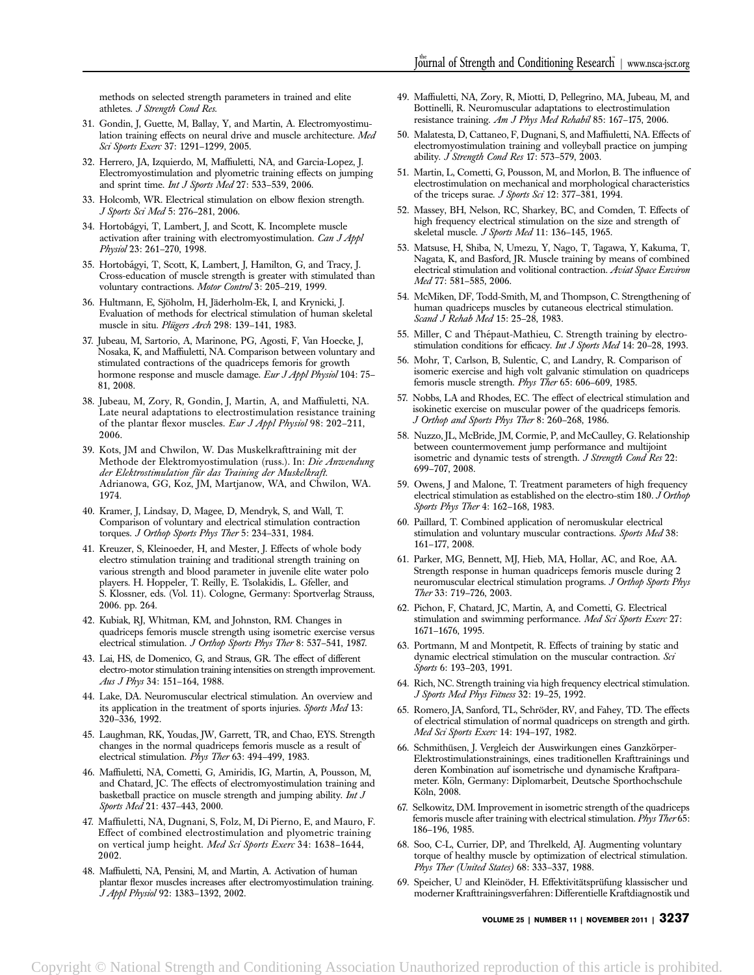methods on selected strength parameters in trained and elite athletes. J Strength Cond Res.

- 31. Gondin, J, Guette, M, Ballay, Y, and Martin, A. Electromyostimulation training effects on neural drive and muscle architecture. Med Sci Sports Exerc 37: 1291–1299, 2005.
- 32. Herrero, JA, Izquierdo, M, Maffiuletti, NA, and Garcia-Lopez, J. Electromyostimulation and plyometric training effects on jumping and sprint time. Int J Sports Med 27: 533-539, 2006.
- 33. Holcomb, WR. Electrical stimulation on elbow flexion strength. J Sports Sci Med 5: 276–281, 2006.
- 34. Hortobágyi, T, Lambert, J, and Scott, K. Incomplete muscle activation after training with electromyostimulation. Can J Appl Physiol 23: 261–270, 1998.
- 35. Hortobágyi, T, Scott, K, Lambert, J, Hamilton, G, and Tracy, J. Cross-education of muscle strength is greater with stimulated than voluntary contractions. Motor Control 3: 205-219, 1999.
- 36. Hultmann, E, Sjöholm, H, Jäderholm-Ek, I, and Krynicki, J. Evaluation of methods for electrical stimulation of human skeletal muscle in situ. Plügers Arch 298: 139-141, 1983.
- 37. Jubeau, M, Sartorio, A, Marinone, PG, Agosti, F, Van Hoecke, J, Nosaka, K, and Maffiuletti, NA. Comparison between voluntary and stimulated contractions of the quadriceps femoris for growth hormone response and muscle damage. Eur J Appl Physiol 104: 75-81, 2008.
- 38. Jubeau, M, Zory, R, Gondin, J, Martin, A, and Maffiuletti, NA. Late neural adaptations to electrostimulation resistance training of the plantar flexor muscles. Eur J Appl Physiol 98: 202-211, 2006.
- 39. Kots, JM and Chwilon, W. Das Muskelkrafttraining mit der Methode der Elektromyostimulation (russ.). In: Die Anwendung der Elektrostimulation für das Training der Muskelkraft. Adrianowa, GG, Koz, JM, Martjanow, WA, and Chwilon, WA. 1974.
- 40. Kramer, J, Lindsay, D, Magee, D, Mendryk, S, and Wall, T. Comparison of voluntary and electrical stimulation contraction torques. J Orthop Sports Phys Ther 5: 234–331, 1984.
- 41. Kreuzer, S, Kleinoeder, H, and Mester, J. Effects of whole body electro stimulation training and traditional strength training on various strength and blood parameter in juvenile elite water polo players. H. Hoppeler, T. Reilly, E. Tsolakidis, L. Gfeller, and S. Klossner, eds. (Vol. 11). Cologne, Germany: Sportverlag Strauss, 2006. pp. 264.
- 42. Kubiak, RJ, Whitman, KM, and Johnston, RM. Changes in quadriceps femoris muscle strength using isometric exercise versus electrical stimulation. J Orthop Sports Phys Ther 8: 537-541, 1987.
- 43. Lai, HS, de Domenico, G, and Straus, GR. The effect of different electro-motor stimulation training intensities on strength improvement. Aus J Phys 34: 151–164, 1988.
- 44. Lake, DA. Neuromuscular electrical stimulation. An overview and its application in the treatment of sports injuries. Sports Med 13: 320–336, 1992.
- 45. Laughman, RK, Youdas, JW, Garrett, TR, and Chao, EYS. Strength changes in the normal quadriceps femoris muscle as a result of electrical stimulation. Phys Ther 63: 494–499, 1983.
- 46. Maffiuletti, NA, Cometti, G, Amiridis, IG, Martin, A, Pousson, M, and Chatard, JC. The effects of electromyostimulation training and basketball practice on muscle strength and jumping ability. Int J Sports Med 21: 437–443, 2000.
- 47. Maffiuletti, NA, Dugnani, S, Folz, M, Di Pierno, E, and Mauro, F. Effect of combined electrostimulation and plyometric training on vertical jump height. Med Sci Sports Exerc 34: 1638-1644, 2002.
- 48. Maffiuletti, NA, Pensini, M, and Martin, A. Activation of human plantar flexor muscles increases after electromyostimulation training. J Appl Physiol 92: 1383–1392, 2002.
- 49. Maffiuletti, NA, Zory, R, Miotti, D, Pellegrino, MA, Jubeau, M, and Bottinelli, R. Neuromuscular adaptations to electrostimulation resistance training. Am J Phys Med Rehabil 85: 167-175, 2006.
- 50. Malatesta, D, Cattaneo, F, Dugnani, S, and Maffiuletti, NA. Effects of electromyostimulation training and volleyball practice on jumping ability. J Strength Cond Res 17: 573–579, 2003.
- 51. Martin, L, Cometti, G, Pousson, M, and Morlon, B. The influence of electrostimulation on mechanical and morphological characteristics of the triceps surae. J Sports Sci 12: 377–381, 1994.
- 52. Massey, BH, Nelson, RC, Sharkey, BC, and Comden, T. Effects of high frequency electrical stimulation on the size and strength of skeletal muscle. *J Sports Med* 11: 136–145, 1965.
- 53. Matsuse, H, Shiba, N, Umezu, Y, Nago, T, Tagawa, Y, Kakuma, T, Nagata, K, and Basford, JR. Muscle training by means of combined electrical stimulation and volitional contraction. Aviat Space Environ Med 77: 581–585, 2006.
- 54. McMiken, DF, Todd-Smith, M, and Thompson, C. Strengthening of human quadriceps muscles by cutaneous electrical stimulation. Scand J Rehab Med 15: 25–28, 1983.
- 55. Miller, C and Thépaut-Mathieu, C. Strength training by electrostimulation conditions for efficacy. Int J Sports Med 14: 20-28, 1993.
- 56. Mohr, T, Carlson, B, Sulentic, C, and Landry, R. Comparison of isomeric exercise and high volt galvanic stimulation on quadriceps femoris muscle strength. Phys Ther 65: 606-609, 1985.
- 57. Nobbs, LA and Rhodes, EC. The effect of electrical stimulation and isokinetic exercise on muscular power of the quadriceps femoris. J Orthop and Sports Phys Ther 8: 260–268, 1986.
- 58. Nuzzo, JL, McBride, JM, Cormie, P, and McCaulley, G. Relationship between countermovement jump performance and multijoint isometric and dynamic tests of strength. J Strength Cond Res 22: 699–707, 2008.
- 59. Owens, J and Malone, T. Treatment parameters of high frequency electrical stimulation as established on the electro-stim 180. J Orthop Sports Phys Ther 4: 162-168, 1983.
- 60. Paillard, T. Combined application of neromuskular electrical stimulation and voluntary muscular contractions. Sports Med 38: 161–177, 2008.
- 61. Parker, MG, Bennett, MJ, Hieb, MA, Hollar, AC, and Roe, AA. Strength response in human quadriceps femoris muscle during 2 neuromuscular electrical stimulation programs. J Orthop Sports Phys Ther 33: 719–726, 2003.
- 62. Pichon, F, Chatard, JC, Martin, A, and Cometti, G. Electrical stimulation and swimming performance. Med Sci Sports Exerc 27: 1671–1676, 1995.
- 63. Portmann, M and Montpetit, R. Effects of training by static and dynamic electrical stimulation on the muscular contraction. Sci Sports 6: 193-203, 1991.
- 64. Rich, NC. Strength training via high frequency electrical stimulation. J Sports Med Phys Fitness 32: 19–25, 1992.
- 65. Romero, JA, Sanford, TL, Schröder, RV, and Fahey, TD. The effects of electrical stimulation of normal quadriceps on strength and girth. Med Sci Sports Exerc 14: 194–197, 1982.
- 66. Schmithüsen, J. Vergleich der Auswirkungen eines Ganzkörper-Elektrostimulationstrainings, eines traditionellen Krafttrainings und deren Kombination auf isometrische und dynamische Kraftparameter. Köln, Germany: Diplomarbeit, Deutsche Sporthochschule Köln, 2008.
- 67. Selkowitz, DM. Improvement in isometric strength of the quadriceps femoris muscle after training with electrical stimulation. Phys Ther 65: 186–196, 1985.
- 68. Soo, C-L, Currier, DP, and Threlkeld, AJ. Augmenting voluntary torque of healthy muscle by optimization of electrical stimulation. Phys Ther (United States) 68: 333–337, 1988.
- 69. Speicher, U and Kleinöder, H. Effektivitätsprüfung klassischer und moderner Krafttrainingsverfahren: Differentielle Kraftdiagnostik und

VOLUME 25 | NUMBER 11 | NOVEMBER 2011 | 3237